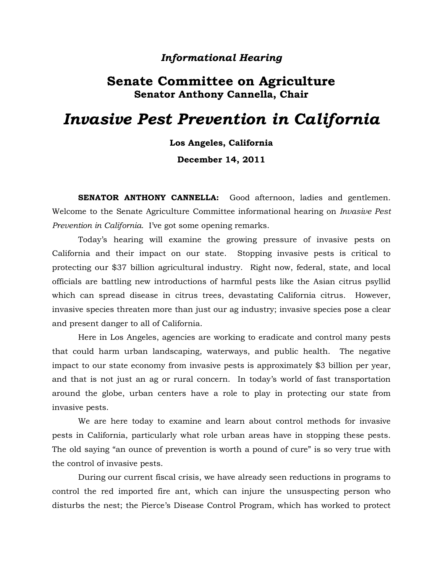### *Informational Hearing*

## **Senate Committee on Agriculture Senator Anthony Cannella, Chair**

# *Invasive Pest Prevention in California*

**Los Angeles, California December 14, 2011**

**SENATOR ANTHONY CANNELLA:** Good afternoon, ladies and gentlemen. Welcome to the Senate Agriculture Committee informational hearing on *Invasive Pest Prevention in California*. I've got some opening remarks.

Today's hearing will examine the growing pressure of invasive pests on California and their impact on our state. Stopping invasive pests is critical to protecting our \$37 billion agricultural industry. Right now, federal, state, and local officials are battling new introductions of harmful pests like the Asian citrus psyllid which can spread disease in citrus trees, devastating California citrus. However, invasive species threaten more than just our ag industry; invasive species pose a clear and present danger to all of California.

Here in Los Angeles, agencies are working to eradicate and control many pests that could harm urban landscaping, waterways, and public health. The negative impact to our state economy from invasive pests is approximately \$3 billion per year, and that is not just an ag or rural concern. In today's world of fast transportation around the globe, urban centers have a role to play in protecting our state from invasive pests.

We are here today to examine and learn about control methods for invasive pests in California, particularly what role urban areas have in stopping these pests. The old saying "an ounce of prevention is worth a pound of cure" is so very true with the control of invasive pests.

During our current fiscal crisis, we have already seen reductions in programs to control the red imported fire ant, which can injure the unsuspecting person who disturbs the nest; the Pierce's Disease Control Program, which has worked to protect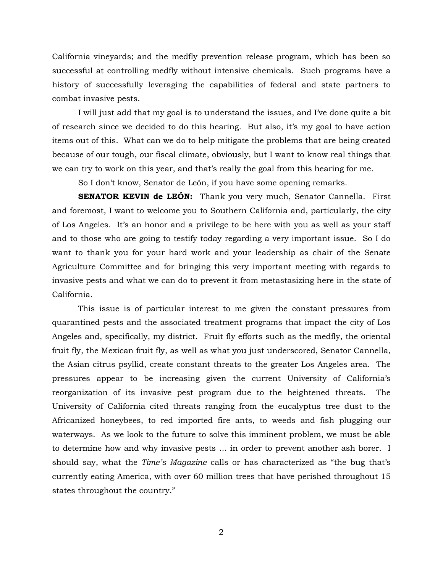California vineyards; and the medfly prevention release program, which has been so successful at controlling medfly without intensive chemicals. Such programs have a history of successfully leveraging the capabilities of federal and state partners to combat invasive pests.

I will just add that my goal is to understand the issues, and I've done quite a bit of research since we decided to do this hearing. But also, it's my goal to have action items out of this. What can we do to help mitigate the problems that are being created because of our tough, our fiscal climate, obviously, but I want to know real things that we can try to work on this year, and that's really the goal from this hearing for me.

So I don't know, Senator de León, if you have some opening remarks.

**SENATOR KEVIN de LEÓN:** Thank you very much, Senator Cannella. First and foremost, I want to welcome you to Southern California and, particularly, the city of Los Angeles. It's an honor and a privilege to be here with you as well as your staff and to those who are going to testify today regarding a very important issue. So I do want to thank you for your hard work and your leadership as chair of the Senate Agriculture Committee and for bringing this very important meeting with regards to invasive pests and what we can do to prevent it from metastasizing here in the state of California.

This issue is of particular interest to me given the constant pressures from quarantined pests and the associated treatment programs that impact the city of Los Angeles and, specifically, my district. Fruit fly efforts such as the medfly, the oriental fruit fly, the Mexican fruit fly, as well as what you just underscored, Senator Cannella, the Asian citrus psyllid, create constant threats to the greater Los Angeles area. The pressures appear to be increasing given the current University of California's reorganization of its invasive pest program due to the heightened threats. The University of California cited threats ranging from the eucalyptus tree dust to the Africanized honeybees, to red imported fire ants, to weeds and fish plugging our waterways. As we look to the future to solve this imminent problem, we must be able to determine how and why invasive pests … in order to prevent another ash borer. I should say, what the *Time's Magazine* calls or has characterized as "the bug that's currently eating America, with over 60 million trees that have perished throughout 15 states throughout the country."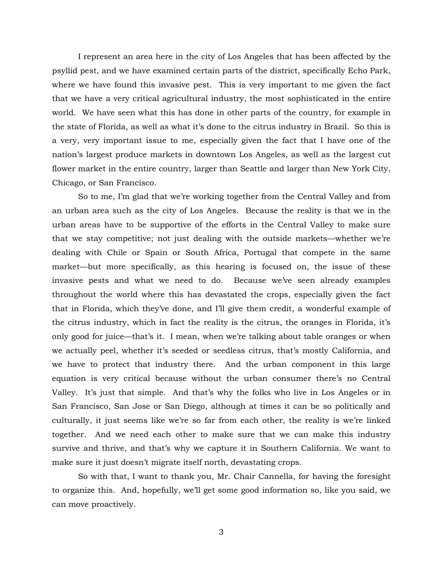I represent an area here in the city of Los Angeles that has been affected by the psyllid pest, and we have examined certain parts of the district, specifically Echo Park, where we have found this invasive pest. This is very important to me given the fact that we have a very critical agricultural industry, the most sophisticated in the entire world. We have seen what this has done in other parts of the country, for example in the state of Florida, as well as what it's done to the citrus industry in Brazil. So this is a very, very important issue to me, especially given the fact that I have one of the nation's largest produce markets in downtown Los Angeles, as well as the largest cut flower market in the entire country, larger than Seattle and larger than New York City, Chicago, or San Francisco.

So to me, I'm glad that we're working together from the Central Valley and from an urban area such as the city of Los Angeles. Because the reality is that we in the urban areas have to be supportive of the efforts in the Central Valley to make sure that we stay competitive; not just dealing with the outside markets—whether we're dealing with Chile or Spain or South Africa, Portugal that compete in the same market—but more specifically, as this hearing is focused on, the issue of these invasive pests and what we need to do. Because we've seen already examples throughout the world where this has devastated the crops, especially given the fact that in Florida, which they've done, and I'll give them credit, a wonderful example of the citrus industry, which in fact the reality is the citrus, the oranges in Florida, it's only good for juice—that's it. I mean, when we're talking about table oranges or when we actually peel, whether it's seeded or seedless citrus, that's mostly California, and we have to protect that industry there. And the urban component in this large equation is very critical because without the urban consumer there's no Central Valley. It's just that simple. And that's why the folks who live in Los Angeles or in San Francisco, San Jose or San Diego, although at times it can be so politically and culturally, it just seems like we're so far from each other, the reality is we're linked together. And we need each other to make sure that we can make this industry survive and thrive, and that's why we capture it in Southern California. We want to make sure it just doesn't migrate itself north, devastating crops.

So with that, I want to thank you, Mr. Chair Cannella, for having the foresight to organize this. And, hopefully, we'll get some good information so, like you said, we can move proactively.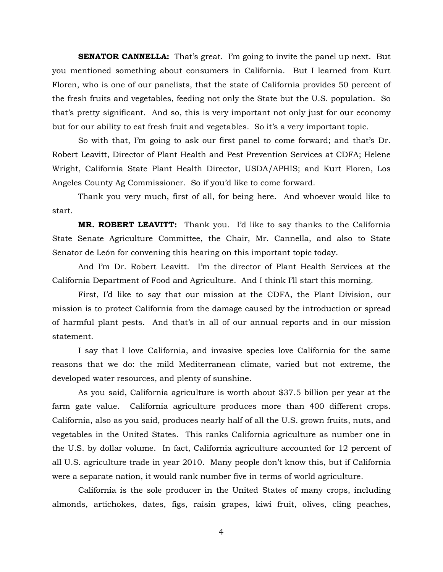**SENATOR CANNELLA:** That's great. I'm going to invite the panel up next. But you mentioned something about consumers in California. But I learned from Kurt Floren, who is one of our panelists, that the state of California provides 50 percent of the fresh fruits and vegetables, feeding not only the State but the U.S. population. So that's pretty significant. And so, this is very important not only just for our economy but for our ability to eat fresh fruit and vegetables. So it's a very important topic.

So with that, I'm going to ask our first panel to come forward; and that's Dr. Robert Leavitt, Director of Plant Health and Pest Prevention Services at CDFA; Helene Wright, California State Plant Health Director, USDA/APHIS; and Kurt Floren, Los Angeles County Ag Commissioner. So if you'd like to come forward.

Thank you very much, first of all, for being here. And whoever would like to start.

**MR. ROBERT LEAVITT:** Thank you. I'd like to say thanks to the California State Senate Agriculture Committee, the Chair, Mr. Cannella, and also to State Senator de León for convening this hearing on this important topic today.

And I'm Dr. Robert Leavitt. I'm the director of Plant Health Services at the California Department of Food and Agriculture. And I think I'll start this morning.

First, I'd like to say that our mission at the CDFA, the Plant Division, our mission is to protect California from the damage caused by the introduction or spread of harmful plant pests. And that's in all of our annual reports and in our mission statement.

I say that I love California, and invasive species love California for the same reasons that we do: the mild Mediterranean climate, varied but not extreme, the developed water resources, and plenty of sunshine.

As you said, California agriculture is worth about \$37.5 billion per year at the farm gate value. California agriculture produces more than 400 different crops. California, also as you said, produces nearly half of all the U.S. grown fruits, nuts, and vegetables in the United States. This ranks California agriculture as number one in the U.S. by dollar volume. In fact, California agriculture accounted for 12 percent of all U.S. agriculture trade in year 2010. Many people don't know this, but if California were a separate nation, it would rank number five in terms of world agriculture.

California is the sole producer in the United States of many crops, including almonds, artichokes, dates, figs, raisin grapes, kiwi fruit, olives, cling peaches,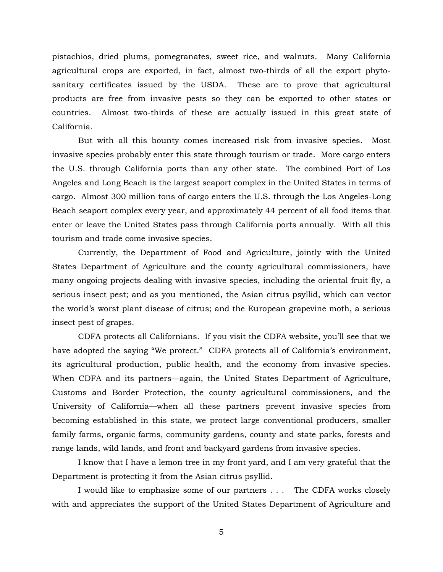pistachios, dried plums, pomegranates, sweet rice, and walnuts. Many California agricultural crops are exported, in fact, almost two-thirds of all the export phytosanitary certificates issued by the USDA. These are to prove that agricultural products are free from invasive pests so they can be exported to other states or countries. Almost two-thirds of these are actually issued in this great state of California.

But with all this bounty comes increased risk from invasive species. Most invasive species probably enter this state through tourism or trade. More cargo enters the U.S. through California ports than any other state. The combined Port of Los Angeles and Long Beach is the largest seaport complex in the United States in terms of cargo. Almost 300 million tons of cargo enters the U.S. through the Los Angeles-Long Beach seaport complex every year, and approximately 44 percent of all food items that enter or leave the United States pass through California ports annually. With all this tourism and trade come invasive species.

Currently, the Department of Food and Agriculture, jointly with the United States Department of Agriculture and the county agricultural commissioners, have many ongoing projects dealing with invasive species, including the oriental fruit fly, a serious insect pest; and as you mentioned, the Asian citrus psyllid, which can vector the world's worst plant disease of citrus; and the European grapevine moth, a serious insect pest of grapes.

CDFA protects all Californians. If you visit the CDFA website, you'll see that we have adopted the saying "We protect." CDFA protects all of California's environment, its agricultural production, public health, and the economy from invasive species. When CDFA and its partners—again, the United States Department of Agriculture, Customs and Border Protection, the county agricultural commissioners, and the University of California—when all these partners prevent invasive species from becoming established in this state, we protect large conventional producers, smaller family farms, organic farms, community gardens, county and state parks, forests and range lands, wild lands, and front and backyard gardens from invasive species.

I know that I have a lemon tree in my front yard, and I am very grateful that the Department is protecting it from the Asian citrus psyllid.

I would like to emphasize some of our partners . . . The CDFA works closely with and appreciates the support of the United States Department of Agriculture and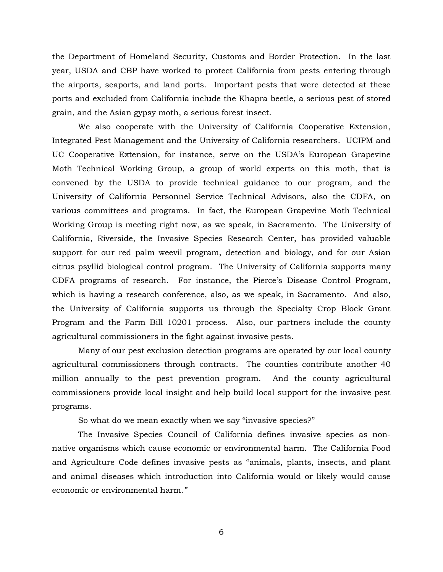the Department of Homeland Security, Customs and Border Protection. In the last year, USDA and CBP have worked to protect California from pests entering through the airports, seaports, and land ports. Important pests that were detected at these ports and excluded from California include the Khapra beetle, a serious pest of stored grain, and the Asian gypsy moth, a serious forest insect.

We also cooperate with the University of California Cooperative Extension, Integrated Pest Management and the University of California researchers. UCIPM and UC Cooperative Extension, for instance, serve on the USDA's European Grapevine Moth Technical Working Group, a group of world experts on this moth, that is convened by the USDA to provide technical guidance to our program, and the University of California Personnel Service Technical Advisors, also the CDFA, on various committees and programs. In fact, the European Grapevine Moth Technical Working Group is meeting right now, as we speak, in Sacramento. The University of California, Riverside, the Invasive Species Research Center, has provided valuable support for our red palm weevil program, detection and biology, and for our Asian citrus psyllid biological control program. The University of California supports many CDFA programs of research. For instance, the Pierce's Disease Control Program, which is having a research conference, also, as we speak, in Sacramento. And also, the University of California supports us through the Specialty Crop Block Grant Program and the Farm Bill 10201 process. Also, our partners include the county agricultural commissioners in the fight against invasive pests.

Many of our pest exclusion detection programs are operated by our local county agricultural commissioners through contracts. The counties contribute another 40 million annually to the pest prevention program. And the county agricultural commissioners provide local insight and help build local support for the invasive pest programs.

So what do we mean exactly when we say "invasive species?"

The Invasive Species Council of California defines invasive species as nonnative organisms which cause economic or environmental harm. The California Food and Agriculture Code defines invasive pests as "animals, plants, insects, and plant and animal diseases which introduction into California would or likely would cause economic or environmental harm*."*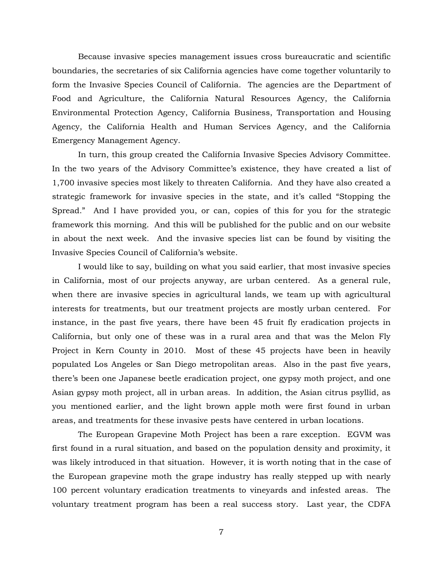Because invasive species management issues cross bureaucratic and scientific boundaries, the secretaries of six California agencies have come together voluntarily to form the Invasive Species Council of California. The agencies are the Department of Food and Agriculture, the California Natural Resources Agency, the California Environmental Protection Agency, California Business, Transportation and Housing Agency, the California Health and Human Services Agency, and the California Emergency Management Agency.

In turn, this group created the California Invasive Species Advisory Committee. In the two years of the Advisory Committee's existence, they have created a list of 1,700 invasive species most likely to threaten California. And they have also created a strategic framework for invasive species in the state, and it's called "Stopping the Spread." And I have provided you, or can, copies of this for you for the strategic framework this morning. And this will be published for the public and on our website in about the next week. And the invasive species list can be found by visiting the Invasive Species Council of California's website.

I would like to say, building on what you said earlier, that most invasive species in California, most of our projects anyway, are urban centered. As a general rule, when there are invasive species in agricultural lands, we team up with agricultural interests for treatments, but our treatment projects are mostly urban centered. For instance, in the past five years, there have been 45 fruit fly eradication projects in California, but only one of these was in a rural area and that was the Melon Fly Project in Kern County in 2010. Most of these 45 projects have been in heavily populated Los Angeles or San Diego metropolitan areas. Also in the past five years, there's been one Japanese beetle eradication project, one gypsy moth project, and one Asian gypsy moth project, all in urban areas. In addition, the Asian citrus psyllid, as you mentioned earlier, and the light brown apple moth were first found in urban areas, and treatments for these invasive pests have centered in urban locations.

The European Grapevine Moth Project has been a rare exception. EGVM was first found in a rural situation, and based on the population density and proximity, it was likely introduced in that situation. However, it is worth noting that in the case of the European grapevine moth the grape industry has really stepped up with nearly 100 percent voluntary eradication treatments to vineyards and infested areas. The voluntary treatment program has been a real success story. Last year, the CDFA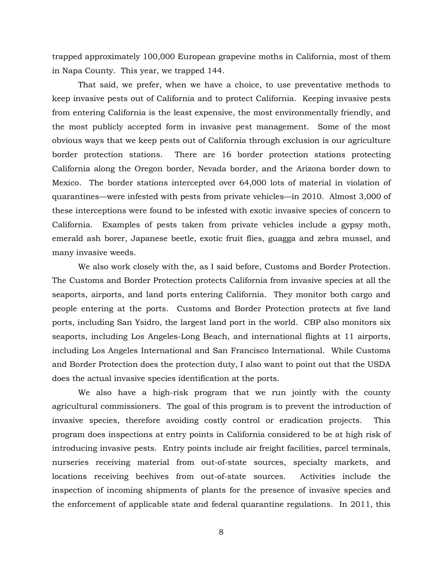trapped approximately 100,000 European grapevine moths in California, most of them in Napa County. This year, we trapped 144.

That said, we prefer, when we have a choice, to use preventative methods to keep invasive pests out of California and to protect California. Keeping invasive pests from entering California is the least expensive, the most environmentally friendly, and the most publicly accepted form in invasive pest management. Some of the most obvious ways that we keep pests out of California through exclusion is our agriculture border protection stations. There are 16 border protection stations protecting California along the Oregon border, Nevada border, and the Arizona border down to Mexico. The border stations intercepted over 64,000 lots of material in violation of quarantines—were infested with pests from private vehicles—in 2010. Almost 3,000 of these interceptions were found to be infested with exotic invasive species of concern to California. Examples of pests taken from private vehicles include a gypsy moth, emerald ash borer, Japanese beetle, exotic fruit flies, guagga and zebra mussel, and many invasive weeds.

We also work closely with the, as I said before, Customs and Border Protection. The Customs and Border Protection protects California from invasive species at all the seaports, airports, and land ports entering California. They monitor both cargo and people entering at the ports. Customs and Border Protection protects at five land ports, including San Ysidro, the largest land port in the world. CBP also monitors six seaports, including Los Angeles-Long Beach, and international flights at 11 airports, including Los Angeles International and San Francisco International. While Customs and Border Protection does the protection duty, I also want to point out that the USDA does the actual invasive species identification at the ports.

We also have a high-risk program that we run jointly with the county agricultural commissioners. The goal of this program is to prevent the introduction of invasive species, therefore avoiding costly control or eradication projects. This program does inspections at entry points in California considered to be at high risk of introducing invasive pests. Entry points include air freight facilities, parcel terminals, nurseries receiving material from out-of-state sources, specialty markets, and locations receiving beehives from out-of-state sources. Activities include the inspection of incoming shipments of plants for the presence of invasive species and the enforcement of applicable state and federal quarantine regulations. In 2011, this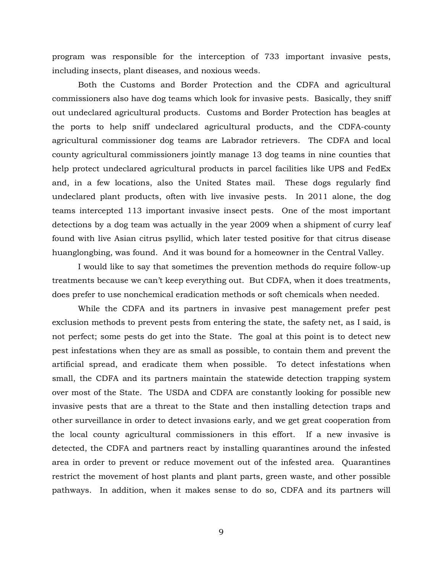program was responsible for the interception of 733 important invasive pests, including insects, plant diseases, and noxious weeds.

Both the Customs and Border Protection and the CDFA and agricultural commissioners also have dog teams which look for invasive pests. Basically, they sniff out undeclared agricultural products. Customs and Border Protection has beagles at the ports to help sniff undeclared agricultural products, and the CDFA-county agricultural commissioner dog teams are Labrador retrievers. The CDFA and local county agricultural commissioners jointly manage 13 dog teams in nine counties that help protect undeclared agricultural products in parcel facilities like UPS and FedEx and, in a few locations, also the United States mail. These dogs regularly find undeclared plant products, often with live invasive pests. In 2011 alone, the dog teams intercepted 113 important invasive insect pests. One of the most important detections by a dog team was actually in the year 2009 when a shipment of curry leaf found with live Asian citrus psyllid, which later tested positive for that citrus disease huanglongbing, was found. And it was bound for a homeowner in the Central Valley.

I would like to say that sometimes the prevention methods do require follow-up treatments because we can't keep everything out. But CDFA, when it does treatments, does prefer to use nonchemical eradication methods or soft chemicals when needed.

While the CDFA and its partners in invasive pest management prefer pest exclusion methods to prevent pests from entering the state, the safety net, as I said, is not perfect; some pests do get into the State. The goal at this point is to detect new pest infestations when they are as small as possible, to contain them and prevent the artificial spread, and eradicate them when possible. To detect infestations when small, the CDFA and its partners maintain the statewide detection trapping system over most of the State. The USDA and CDFA are constantly looking for possible new invasive pests that are a threat to the State and then installing detection traps and other surveillance in order to detect invasions early, and we get great cooperation from the local county agricultural commissioners in this effort. If a new invasive is detected, the CDFA and partners react by installing quarantines around the infested area in order to prevent or reduce movement out of the infested area. Quarantines restrict the movement of host plants and plant parts, green waste, and other possible pathways. In addition, when it makes sense to do so, CDFA and its partners will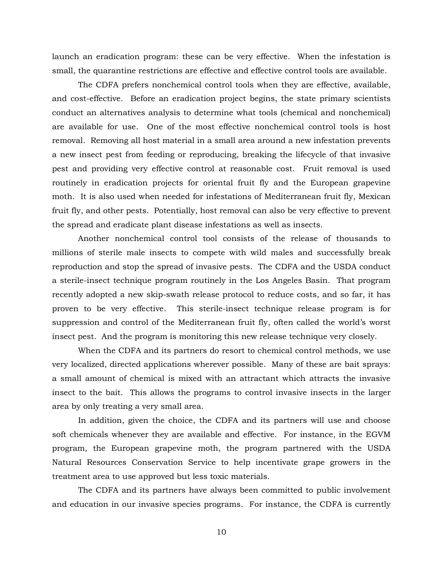launch an eradication program: these can be very effective. When the infestation is small, the quarantine restrictions are effective and effective control tools are available.

The CDFA prefers nonchemical control tools when they are effective, available, and cost-effective. Before an eradication project begins, the state primary scientists conduct an alternatives analysis to determine what tools (chemical and nonchemical) are available for use. One of the most effective nonchemical control tools is host removal. Removing all host material in a small area around a new infestation prevents a new insect pest from feeding or reproducing, breaking the lifecycle of that invasive pest and providing very effective control at reasonable cost. Fruit removal is used routinely in eradication projects for oriental fruit fly and the European grapevine moth. It is also used when needed for infestations of Mediterranean fruit fly, Mexican fruit fly, and other pests. Potentially, host removal can also be very effective to prevent the spread and eradicate plant disease infestations as well as insects.

Another nonchemical control tool consists of the release of thousands to millions of sterile male insects to compete with wild males and successfully break reproduction and stop the spread of invasive pests. The CDFA and the USDA conduct a sterile-insect technique program routinely in the Los Angeles Basin. That program recently adopted a new skip-swath release protocol to reduce costs, and so far, it has proven to be very effective. This sterile-insect technique release program is for suppression and control of the Mediterranean fruit fly, often called the world's worst insect pest. And the program is monitoring this new release technique very closely.

When the CDFA and its partners do resort to chemical control methods, we use very localized, directed applications wherever possible. Many of these are bait sprays: a small amount of chemical is mixed with an attractant which attracts the invasive insect to the bait. This allows the programs to control invasive insects in the larger area by only treating a very small area.

In addition, given the choice, the CDFA and its partners will use and choose soft chemicals whenever they are available and effective. For instance, in the EGVM program, the European grapevine moth, the program partnered with the USDA Natural Resources Conservation Service to help incentivate grape growers in the treatment area to use approved but less toxic materials.

The CDFA and its partners have always been committed to public involvement and education in our invasive species programs. For instance, the CDFA is currently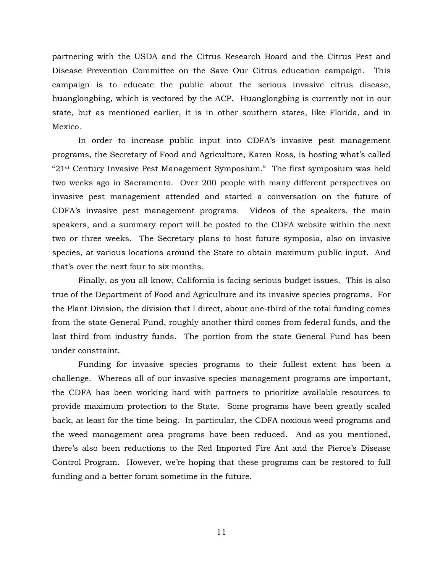partnering with the USDA and the Citrus Research Board and the Citrus Pest and Disease Prevention Committee on the Save Our Citrus education campaign. This campaign is to educate the public about the serious invasive citrus disease, huanglongbing, which is vectored by the ACP. Huanglongbing is currently not in our state, but as mentioned earlier, it is in other southern states, like Florida, and in Mexico.

In order to increase public input into CDFA's invasive pest management programs, the Secretary of Food and Agriculture, Karen Ross, is hosting what's called "21st Century Invasive Pest Management Symposium." The first symposium was held two weeks ago in Sacramento. Over 200 people with many different perspectives on invasive pest management attended and started a conversation on the future of CDFA's invasive pest management programs. Videos of the speakers, the main speakers, and a summary report will be posted to the CDFA website within the next two or three weeks. The Secretary plans to host future symposia, also on invasive species, at various locations around the State to obtain maximum public input. And that's over the next four to six months.

Finally, as you all know, California is facing serious budget issues. This is also true of the Department of Food and Agriculture and its invasive species programs. For the Plant Division, the division that I direct, about one-third of the total funding comes from the state General Fund, roughly another third comes from federal funds, and the last third from industry funds. The portion from the state General Fund has been under constraint.

Funding for invasive species programs to their fullest extent has been a challenge. Whereas all of our invasive species management programs are important, the CDFA has been working hard with partners to prioritize available resources to provide maximum protection to the State. Some programs have been greatly scaled back, at least for the time being. In particular, the CDFA noxious weed programs and the weed management area programs have been reduced. And as you mentioned, there's also been reductions to the Red Imported Fire Ant and the Pierce's Disease Control Program. However, we're hoping that these programs can be restored to full funding and a better forum sometime in the future.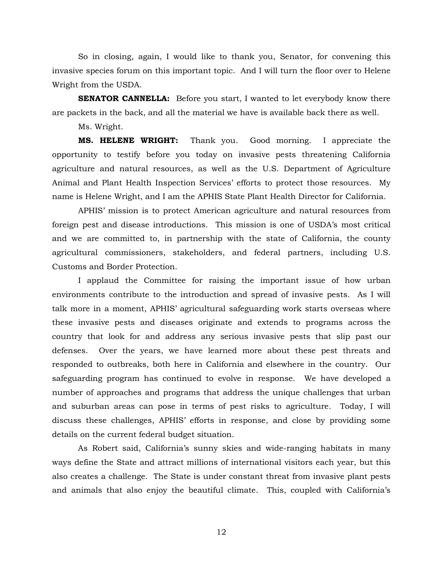So in closing, again, I would like to thank you, Senator, for convening this invasive species forum on this important topic. And I will turn the floor over to Helene Wright from the USDA.

**SENATOR CANNELLA:** Before you start, I wanted to let everybody know there are packets in the back, and all the material we have is available back there as well.

Ms. Wright.

**MS. HELENE WRIGHT:** Thank you. Good morning. I appreciate the opportunity to testify before you today on invasive pests threatening California agriculture and natural resources, as well as the U.S. Department of Agriculture Animal and Plant Health Inspection Services' efforts to protect those resources. My name is Helene Wright, and I am the APHIS State Plant Health Director for California.

APHIS' mission is to protect American agriculture and natural resources from foreign pest and disease introductions. This mission is one of USDA's most critical and we are committed to, in partnership with the state of California, the county agricultural commissioners, stakeholders, and federal partners, including U.S. Customs and Border Protection.

I applaud the Committee for raising the important issue of how urban environments contribute to the introduction and spread of invasive pests. As I will talk more in a moment, APHIS' agricultural safeguarding work starts overseas where these invasive pests and diseases originate and extends to programs across the country that look for and address any serious invasive pests that slip past our defenses. Over the years, we have learned more about these pest threats and responded to outbreaks, both here in California and elsewhere in the country. Our safeguarding program has continued to evolve in response. We have developed a number of approaches and programs that address the unique challenges that urban and suburban areas can pose in terms of pest risks to agriculture. Today, I will discuss these challenges, APHIS' efforts in response, and close by providing some details on the current federal budget situation.

As Robert said, California's sunny skies and wide-ranging habitats in many ways define the State and attract millions of international visitors each year, but this also creates a challenge. The State is under constant threat from invasive plant pests and animals that also enjoy the beautiful climate. This, coupled with California's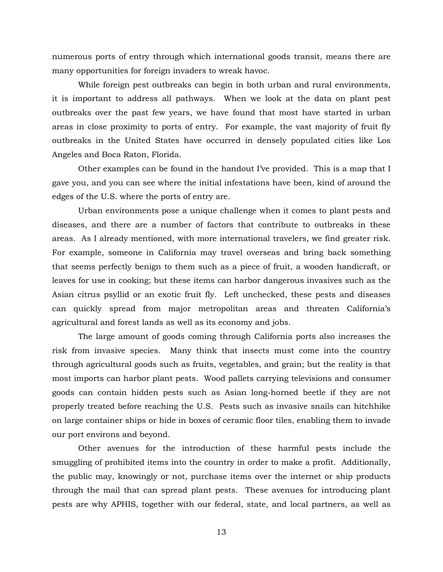numerous ports of entry through which international goods transit, means there are many opportunities for foreign invaders to wreak havoc.

While foreign pest outbreaks can begin in both urban and rural environments, it is important to address all pathways. When we look at the data on plant pest outbreaks over the past few years, we have found that most have started in urban areas in close proximity to ports of entry. For example, the vast majority of fruit fly outbreaks in the United States have occurred in densely populated cities like Los Angeles and Boca Raton, Florida.

Other examples can be found in the handout I've provided. This is a map that I gave you, and you can see where the initial infestations have been, kind of around the edges of the U.S. where the ports of entry are.

Urban environments pose a unique challenge when it comes to plant pests and diseases, and there are a number of factors that contribute to outbreaks in these areas. As I already mentioned, with more international travelers, we find greater risk. For example, someone in California may travel overseas and bring back something that seems perfectly benign to them such as a piece of fruit, a wooden handicraft, or leaves for use in cooking; but these items can harbor dangerous invasives such as the Asian citrus psyllid or an exotic fruit fly. Left unchecked, these pests and diseases can quickly spread from major metropolitan areas and threaten California's agricultural and forest lands as well as its economy and jobs.

The large amount of goods coming through California ports also increases the risk from invasive species. Many think that insects must come into the country through agricultural goods such as fruits, vegetables, and grain; but the reality is that most imports can harbor plant pests. Wood pallets carrying televisions and consumer goods can contain hidden pests such as Asian long-horned beetle if they are not properly treated before reaching the U.S. Pests such as invasive snails can hitchhike on large container ships or hide in boxes of ceramic floor tiles, enabling them to invade our port environs and beyond.

Other avenues for the introduction of these harmful pests include the smuggling of prohibited items into the country in order to make a profit. Additionally, the public may, knowingly or not, purchase items over the internet or ship products through the mail that can spread plant pests. These avenues for introducing plant pests are why APHIS, together with our federal, state, and local partners, as well as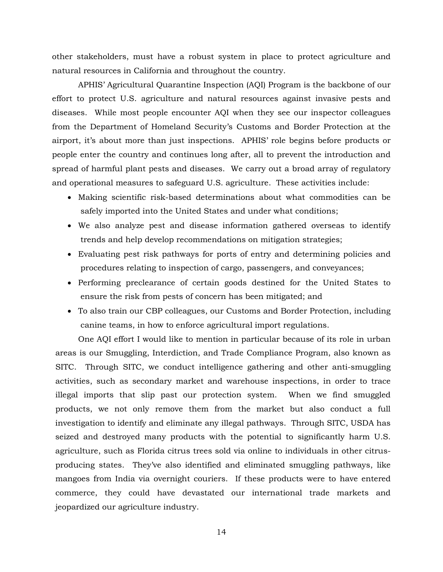other stakeholders, must have a robust system in place to protect agriculture and natural resources in California and throughout the country.

APHIS' Agricultural Quarantine Inspection (AQI) Program is the backbone of our effort to protect U.S. agriculture and natural resources against invasive pests and diseases. While most people encounter AQI when they see our inspector colleagues from the Department of Homeland Security's Customs and Border Protection at the airport, it's about more than just inspections. APHIS' role begins before products or people enter the country and continues long after, all to prevent the introduction and spread of harmful plant pests and diseases. We carry out a broad array of regulatory and operational measures to safeguard U.S. agriculture. These activities include:

- Making scientific risk-based determinations about what commodities can be safely imported into the United States and under what conditions;
- We also analyze pest and disease information gathered overseas to identify trends and help develop recommendations on mitigation strategies;
- Evaluating pest risk pathways for ports of entry and determining policies and procedures relating to inspection of cargo, passengers, and conveyances;
- Performing preclearance of certain goods destined for the United States to ensure the risk from pests of concern has been mitigated; and
- To also train our CBP colleagues, our Customs and Border Protection, including canine teams, in how to enforce agricultural import regulations.

One AQI effort I would like to mention in particular because of its role in urban areas is our Smuggling, Interdiction, and Trade Compliance Program, also known as SITC. Through SITC, we conduct intelligence gathering and other anti-smuggling activities, such as secondary market and warehouse inspections, in order to trace illegal imports that slip past our protection system. When we find smuggled products, we not only remove them from the market but also conduct a full investigation to identify and eliminate any illegal pathways. Through SITC, USDA has seized and destroyed many products with the potential to significantly harm U.S. agriculture, such as Florida citrus trees sold via online to individuals in other citrusproducing states. They've also identified and eliminated smuggling pathways, like mangoes from India via overnight couriers. If these products were to have entered commerce, they could have devastated our international trade markets and jeopardized our agriculture industry.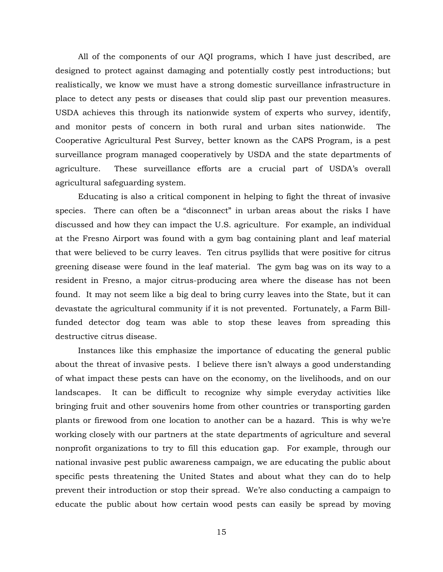All of the components of our AQI programs, which I have just described, are designed to protect against damaging and potentially costly pest introductions; but realistically, we know we must have a strong domestic surveillance infrastructure in place to detect any pests or diseases that could slip past our prevention measures. USDA achieves this through its nationwide system of experts who survey, identify, and monitor pests of concern in both rural and urban sites nationwide. The Cooperative Agricultural Pest Survey, better known as the CAPS Program, is a pest surveillance program managed cooperatively by USDA and the state departments of agriculture. These surveillance efforts are a crucial part of USDA's overall agricultural safeguarding system.

Educating is also a critical component in helping to fight the threat of invasive species. There can often be a "disconnect" in urban areas about the risks I have discussed and how they can impact the U.S. agriculture. For example, an individual at the Fresno Airport was found with a gym bag containing plant and leaf material that were believed to be curry leaves. Ten citrus psyllids that were positive for citrus greening disease were found in the leaf material. The gym bag was on its way to a resident in Fresno, a major citrus-producing area where the disease has not been found. It may not seem like a big deal to bring curry leaves into the State, but it can devastate the agricultural community if it is not prevented. Fortunately, a Farm Billfunded detector dog team was able to stop these leaves from spreading this destructive citrus disease.

Instances like this emphasize the importance of educating the general public about the threat of invasive pests. I believe there isn't always a good understanding of what impact these pests can have on the economy, on the livelihoods, and on our landscapes. It can be difficult to recognize why simple everyday activities like bringing fruit and other souvenirs home from other countries or transporting garden plants or firewood from one location to another can be a hazard. This is why we're working closely with our partners at the state departments of agriculture and several nonprofit organizations to try to fill this education gap. For example, through our national invasive pest public awareness campaign, we are educating the public about specific pests threatening the United States and about what they can do to help prevent their introduction or stop their spread. We're also conducting a campaign to educate the public about how certain wood pests can easily be spread by moving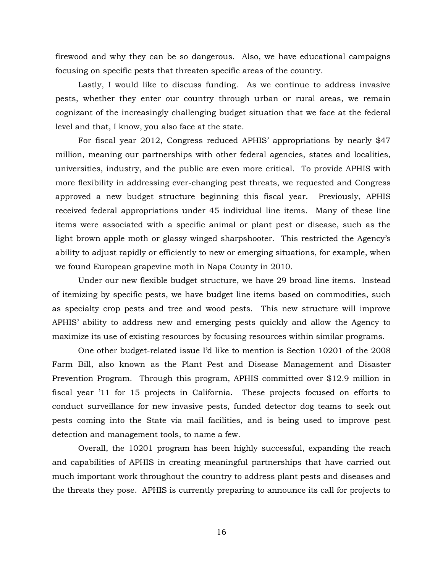firewood and why they can be so dangerous. Also, we have educational campaigns focusing on specific pests that threaten specific areas of the country.

Lastly, I would like to discuss funding. As we continue to address invasive pests, whether they enter our country through urban or rural areas, we remain cognizant of the increasingly challenging budget situation that we face at the federal level and that, I know, you also face at the state.

For fiscal year 2012, Congress reduced APHIS' appropriations by nearly \$47 million, meaning our partnerships with other federal agencies, states and localities, universities, industry, and the public are even more critical. To provide APHIS with more flexibility in addressing ever-changing pest threats, we requested and Congress approved a new budget structure beginning this fiscal year. Previously, APHIS received federal appropriations under 45 individual line items. Many of these line items were associated with a specific animal or plant pest or disease, such as the light brown apple moth or glassy winged sharpshooter. This restricted the Agency's ability to adjust rapidly or efficiently to new or emerging situations, for example, when we found European grapevine moth in Napa County in 2010.

Under our new flexible budget structure, we have 29 broad line items. Instead of itemizing by specific pests, we have budget line items based on commodities, such as specialty crop pests and tree and wood pests. This new structure will improve APHIS' ability to address new and emerging pests quickly and allow the Agency to maximize its use of existing resources by focusing resources within similar programs.

One other budget-related issue I'd like to mention is Section 10201 of the 2008 Farm Bill, also known as the Plant Pest and Disease Management and Disaster Prevention Program. Through this program, APHIS committed over \$12.9 million in fiscal year '11 for 15 projects in California. These projects focused on efforts to conduct surveillance for new invasive pests, funded detector dog teams to seek out pests coming into the State via mail facilities, and is being used to improve pest detection and management tools, to name a few.

Overall, the 10201 program has been highly successful, expanding the reach and capabilities of APHIS in creating meaningful partnerships that have carried out much important work throughout the country to address plant pests and diseases and the threats they pose. APHIS is currently preparing to announce its call for projects to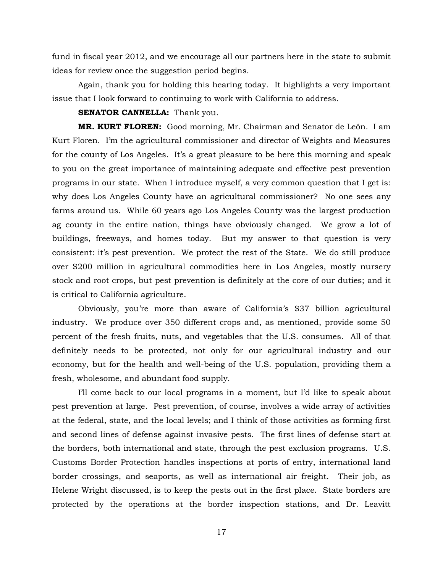fund in fiscal year 2012, and we encourage all our partners here in the state to submit ideas for review once the suggestion period begins.

Again, thank you for holding this hearing today. It highlights a very important issue that I look forward to continuing to work with California to address.

#### **SENATOR CANNELLA:** Thank you.

**MR. KURT FLOREN:** Good morning, Mr. Chairman and Senator de León. I am Kurt Floren. I'm the agricultural commissioner and director of Weights and Measures for the county of Los Angeles. It's a great pleasure to be here this morning and speak to you on the great importance of maintaining adequate and effective pest prevention programs in our state. When I introduce myself, a very common question that I get is: why does Los Angeles County have an agricultural commissioner? No one sees any farms around us. While 60 years ago Los Angeles County was the largest production ag county in the entire nation, things have obviously changed. We grow a lot of buildings, freeways, and homes today. But my answer to that question is very consistent: it's pest prevention. We protect the rest of the State. We do still produce over \$200 million in agricultural commodities here in Los Angeles, mostly nursery stock and root crops, but pest prevention is definitely at the core of our duties; and it is critical to California agriculture.

Obviously, you're more than aware of California's \$37 billion agricultural industry. We produce over 350 different crops and, as mentioned, provide some 50 percent of the fresh fruits, nuts, and vegetables that the U.S. consumes. All of that definitely needs to be protected, not only for our agricultural industry and our economy, but for the health and well-being of the U.S. population, providing them a fresh, wholesome, and abundant food supply.

I'll come back to our local programs in a moment, but I'd like to speak about pest prevention at large. Pest prevention, of course, involves a wide array of activities at the federal, state, and the local levels; and I think of those activities as forming first and second lines of defense against invasive pests. The first lines of defense start at the borders, both international and state, through the pest exclusion programs. U.S. Customs Border Protection handles inspections at ports of entry, international land border crossings, and seaports, as well as international air freight. Their job, as Helene Wright discussed, is to keep the pests out in the first place. State borders are protected by the operations at the border inspection stations, and Dr. Leavitt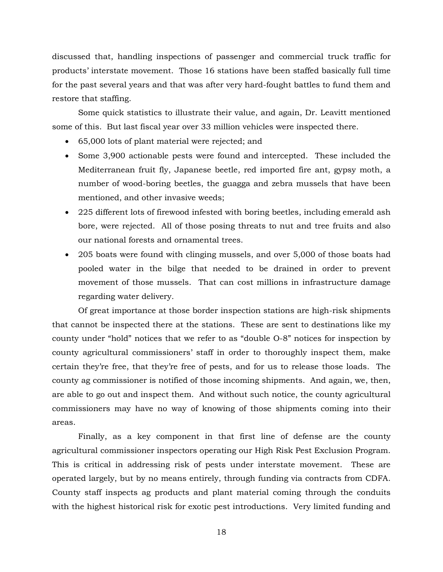discussed that, handling inspections of passenger and commercial truck traffic for products' interstate movement. Those 16 stations have been staffed basically full time for the past several years and that was after very hard-fought battles to fund them and restore that staffing.

Some quick statistics to illustrate their value, and again, Dr. Leavitt mentioned some of this. But last fiscal year over 33 million vehicles were inspected there.

- 65,000 lots of plant material were rejected; and
- Some 3,900 actionable pests were found and intercepted. These included the Mediterranean fruit fly, Japanese beetle, red imported fire ant, gypsy moth, a number of wood-boring beetles, the guagga and zebra mussels that have been mentioned, and other invasive weeds;
- 225 different lots of firewood infested with boring beetles, including emerald ash bore, were rejected. All of those posing threats to nut and tree fruits and also our national forests and ornamental trees.
- 205 boats were found with clinging mussels, and over 5,000 of those boats had pooled water in the bilge that needed to be drained in order to prevent movement of those mussels. That can cost millions in infrastructure damage regarding water delivery.

Of great importance at those border inspection stations are high-risk shipments that cannot be inspected there at the stations. These are sent to destinations like my county under "hold" notices that we refer to as "double O-8" notices for inspection by county agricultural commissioners' staff in order to thoroughly inspect them, make certain they're free, that they're free of pests, and for us to release those loads. The county ag commissioner is notified of those incoming shipments. And again, we, then, are able to go out and inspect them. And without such notice, the county agricultural commissioners may have no way of knowing of those shipments coming into their areas.

Finally, as a key component in that first line of defense are the county agricultural commissioner inspectors operating our High Risk Pest Exclusion Program. This is critical in addressing risk of pests under interstate movement. These are operated largely, but by no means entirely, through funding via contracts from CDFA. County staff inspects ag products and plant material coming through the conduits with the highest historical risk for exotic pest introductions. Very limited funding and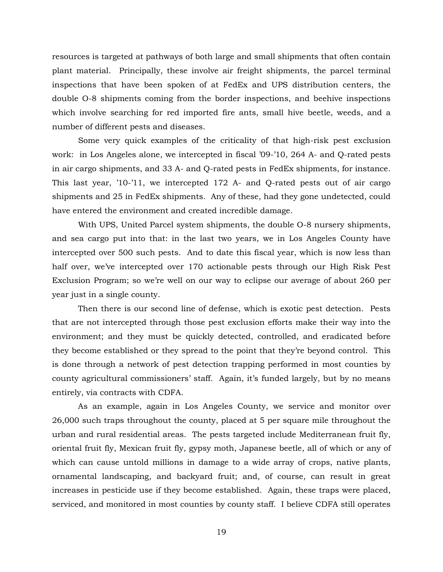resources is targeted at pathways of both large and small shipments that often contain plant material. Principally, these involve air freight shipments, the parcel terminal inspections that have been spoken of at FedEx and UPS distribution centers, the double O-8 shipments coming from the border inspections, and beehive inspections which involve searching for red imported fire ants, small hive beetle, weeds, and a number of different pests and diseases.

Some very quick examples of the criticality of that high-risk pest exclusion work: in Los Angeles alone, we intercepted in fiscal '09-'10, 264 A- and Q-rated pests in air cargo shipments, and 33 A- and Q-rated pests in FedEx shipments, for instance. This last year, '10-'11, we intercepted 172 A- and Q-rated pests out of air cargo shipments and 25 in FedEx shipments. Any of these, had they gone undetected, could have entered the environment and created incredible damage.

With UPS, United Parcel system shipments, the double O-8 nursery shipments, and sea cargo put into that: in the last two years, we in Los Angeles County have intercepted over 500 such pests. And to date this fiscal year, which is now less than half over, we've intercepted over 170 actionable pests through our High Risk Pest Exclusion Program; so we're well on our way to eclipse our average of about 260 per year just in a single county.

Then there is our second line of defense, which is exotic pest detection. Pests that are not intercepted through those pest exclusion efforts make their way into the environment; and they must be quickly detected, controlled, and eradicated before they become established or they spread to the point that they're beyond control. This is done through a network of pest detection trapping performed in most counties by county agricultural commissioners' staff. Again, it's funded largely, but by no means entirely, via contracts with CDFA.

As an example, again in Los Angeles County, we service and monitor over 26,000 such traps throughout the county, placed at 5 per square mile throughout the urban and rural residential areas. The pests targeted include Mediterranean fruit fly, oriental fruit fly, Mexican fruit fly, gypsy moth, Japanese beetle, all of which or any of which can cause untold millions in damage to a wide array of crops, native plants, ornamental landscaping, and backyard fruit; and, of course, can result in great increases in pesticide use if they become established. Again, these traps were placed, serviced, and monitored in most counties by county staff. I believe CDFA still operates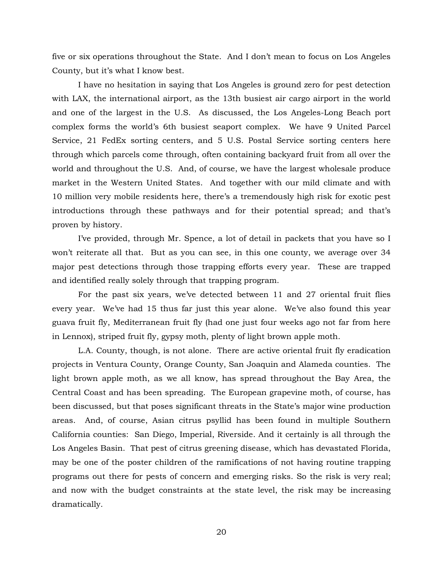five or six operations throughout the State. And I don't mean to focus on Los Angeles County, but it's what I know best.

I have no hesitation in saying that Los Angeles is ground zero for pest detection with LAX, the international airport, as the 13th busiest air cargo airport in the world and one of the largest in the U.S. As discussed, the Los Angeles-Long Beach port complex forms the world's 6th busiest seaport complex. We have 9 United Parcel Service, 21 FedEx sorting centers, and 5 U.S. Postal Service sorting centers here through which parcels come through, often containing backyard fruit from all over the world and throughout the U.S. And, of course, we have the largest wholesale produce market in the Western United States. And together with our mild climate and with 10 million very mobile residents here, there's a tremendously high risk for exotic pest introductions through these pathways and for their potential spread; and that's proven by history.

I've provided, through Mr. Spence, a lot of detail in packets that you have so I won't reiterate all that. But as you can see, in this one county, we average over 34 major pest detections through those trapping efforts every year. These are trapped and identified really solely through that trapping program.

For the past six years, we've detected between 11 and 27 oriental fruit flies every year. We've had 15 thus far just this year alone. We've also found this year guava fruit fly, Mediterranean fruit fly (had one just four weeks ago not far from here in Lennox), striped fruit fly, gypsy moth, plenty of light brown apple moth.

L.A. County, though, is not alone. There are active oriental fruit fly eradication projects in Ventura County, Orange County, San Joaquin and Alameda counties. The light brown apple moth, as we all know, has spread throughout the Bay Area, the Central Coast and has been spreading. The European grapevine moth, of course, has been discussed, but that poses significant threats in the State's major wine production areas. And, of course, Asian citrus psyllid has been found in multiple Southern California counties: San Diego, Imperial, Riverside. And it certainly is all through the Los Angeles Basin. That pest of citrus greening disease, which has devastated Florida, may be one of the poster children of the ramifications of not having routine trapping programs out there for pests of concern and emerging risks. So the risk is very real; and now with the budget constraints at the state level, the risk may be increasing dramatically.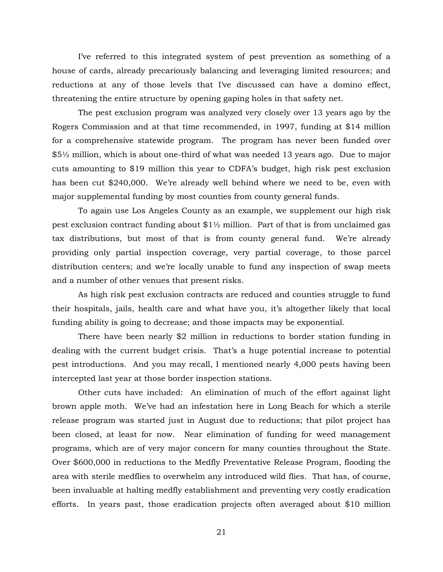I've referred to this integrated system of pest prevention as something of a house of cards, already precariously balancing and leveraging limited resources; and reductions at any of those levels that I've discussed can have a domino effect, threatening the entire structure by opening gaping holes in that safety net.

The pest exclusion program was analyzed very closely over 13 years ago by the Rogers Commission and at that time recommended, in 1997, funding at \$14 million for a comprehensive statewide program. The program has never been funded over \$5½ million, which is about one-third of what was needed 13 years ago. Due to major cuts amounting to \$19 million this year to CDFA's budget, high risk pest exclusion has been cut \$240,000. We're already well behind where we need to be, even with major supplemental funding by most counties from county general funds.

To again use Los Angeles County as an example, we supplement our high risk pest exclusion contract funding about  $$1\frac{1}{2}$  million. Part of that is from unclaimed gas tax distributions, but most of that is from county general fund. We're already providing only partial inspection coverage, very partial coverage, to those parcel distribution centers; and we're locally unable to fund any inspection of swap meets and a number of other venues that present risks.

As high risk pest exclusion contracts are reduced and counties struggle to fund their hospitals, jails, health care and what have you, it's altogether likely that local funding ability is going to decrease; and those impacts may be exponential.

There have been nearly \$2 million in reductions to border station funding in dealing with the current budget crisis. That's a huge potential increase to potential pest introductions. And you may recall, I mentioned nearly 4,000 pests having been intercepted last year at those border inspection stations.

Other cuts have included: An elimination of much of the effort against light brown apple moth. We've had an infestation here in Long Beach for which a sterile release program was started just in August due to reductions; that pilot project has been closed, at least for now. Near elimination of funding for weed management programs, which are of very major concern for many counties throughout the State. Over \$600,000 in reductions to the Medfly Preventative Release Program, flooding the area with sterile medflies to overwhelm any introduced wild flies. That has, of course, been invaluable at halting medfly establishment and preventing very costly eradication efforts. In years past, those eradication projects often averaged about \$10 million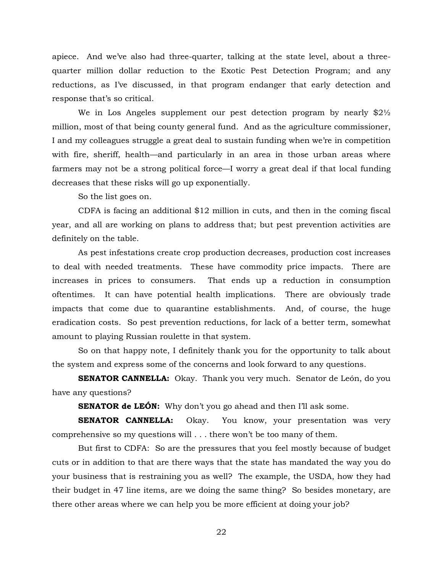apiece. And we've also had three-quarter, talking at the state level, about a threequarter million dollar reduction to the Exotic Pest Detection Program; and any reductions, as I've discussed, in that program endanger that early detection and response that's so critical.

We in Los Angeles supplement our pest detection program by nearly  $$2\frac{1}{2}$ million, most of that being county general fund. And as the agriculture commissioner, I and my colleagues struggle a great deal to sustain funding when we're in competition with fire, sheriff, health—and particularly in an area in those urban areas where farmers may not be a strong political force—I worry a great deal if that local funding decreases that these risks will go up exponentially.

So the list goes on.

CDFA is facing an additional \$12 million in cuts, and then in the coming fiscal year, and all are working on plans to address that; but pest prevention activities are definitely on the table.

As pest infestations create crop production decreases, production cost increases to deal with needed treatments. These have commodity price impacts. There are increases in prices to consumers. That ends up a reduction in consumption oftentimes. It can have potential health implications. There are obviously trade impacts that come due to quarantine establishments. And, of course, the huge eradication costs. So pest prevention reductions, for lack of a better term, somewhat amount to playing Russian roulette in that system.

So on that happy note, I definitely thank you for the opportunity to talk about the system and express some of the concerns and look forward to any questions.

**SENATOR CANNELLA:** Okay. Thank you very much. Senator de León, do you have any questions?

**SENATOR de LEÓN:** Why don't you go ahead and then I'll ask some.

**SENATOR CANNELLA:** Okay. You know, your presentation was very comprehensive so my questions will . . . there won't be too many of them.

But first to CDFA: So are the pressures that you feel mostly because of budget cuts or in addition to that are there ways that the state has mandated the way you do your business that is restraining you as well? The example, the USDA, how they had their budget in 47 line items, are we doing the same thing? So besides monetary, are there other areas where we can help you be more efficient at doing your job?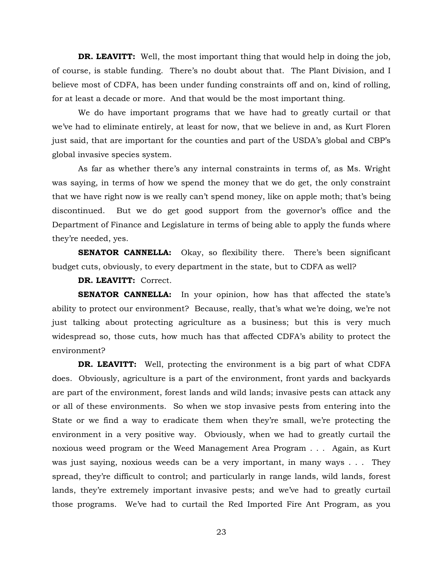**DR. LEAVITT:** Well, the most important thing that would help in doing the job, of course, is stable funding. There's no doubt about that. The Plant Division, and I believe most of CDFA, has been under funding constraints off and on, kind of rolling, for at least a decade or more. And that would be the most important thing.

We do have important programs that we have had to greatly curtail or that we've had to eliminate entirely, at least for now, that we believe in and, as Kurt Floren just said, that are important for the counties and part of the USDA's global and CBP's global invasive species system.

As far as whether there's any internal constraints in terms of, as Ms. Wright was saying, in terms of how we spend the money that we do get, the only constraint that we have right now is we really can't spend money, like on apple moth; that's being discontinued. But we do get good support from the governor's office and the Department of Finance and Legislature in terms of being able to apply the funds where they're needed, yes.

**SENATOR CANNELLA:** Okay, so flexibility there. There's been significant budget cuts, obviously, to every department in the state, but to CDFA as well?

**DR. LEAVITT:** Correct.

**SENATOR CANNELLA:** In your opinion, how has that affected the state's ability to protect our environment? Because, really, that's what we're doing, we're not just talking about protecting agriculture as a business; but this is very much widespread so, those cuts, how much has that affected CDFA's ability to protect the environment?

**DR. LEAVITT:** Well, protecting the environment is a big part of what CDFA does. Obviously, agriculture is a part of the environment, front yards and backyards are part of the environment, forest lands and wild lands; invasive pests can attack any or all of these environments. So when we stop invasive pests from entering into the State or we find a way to eradicate them when they're small, we're protecting the environment in a very positive way. Obviously, when we had to greatly curtail the noxious weed program or the Weed Management Area Program . . . Again, as Kurt was just saying, noxious weeds can be a very important, in many ways . . . They spread, they're difficult to control; and particularly in range lands, wild lands, forest lands, they're extremely important invasive pests; and we've had to greatly curtail those programs. We've had to curtail the Red Imported Fire Ant Program, as you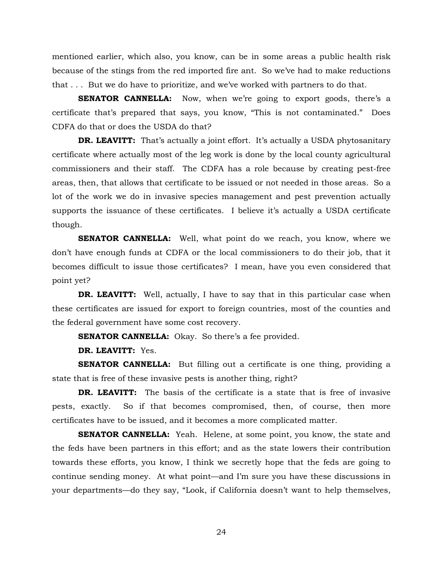mentioned earlier, which also, you know, can be in some areas a public health risk because of the stings from the red imported fire ant. So we've had to make reductions that . . . But we do have to prioritize, and we've worked with partners to do that.

**SENATOR CANNELLA:** Now, when we're going to export goods, there's a certificate that's prepared that says, you know, "This is not contaminated." Does CDFA do that or does the USDA do that?

**DR. LEAVITT:** That's actually a joint effort. It's actually a USDA phytosanitary certificate where actually most of the leg work is done by the local county agricultural commissioners and their staff. The CDFA has a role because by creating pest-free areas, then, that allows that certificate to be issued or not needed in those areas. So a lot of the work we do in invasive species management and pest prevention actually supports the issuance of these certificates. I believe it's actually a USDA certificate though.

**SENATOR CANNELLA:** Well, what point do we reach, you know, where we don't have enough funds at CDFA or the local commissioners to do their job, that it becomes difficult to issue those certificates? I mean, have you even considered that point yet?

**DR. LEAVITT:** Well, actually, I have to say that in this particular case when these certificates are issued for export to foreign countries, most of the counties and the federal government have some cost recovery.

**SENATOR CANNELLA:** Okay. So there's a fee provided.

**DR. LEAVITT:** Yes.

**SENATOR CANNELLA:** But filling out a certificate is one thing, providing a state that is free of these invasive pests is another thing, right?

**DR. LEAVITT:** The basis of the certificate is a state that is free of invasive pests, exactly. So if that becomes compromised, then, of course, then more certificates have to be issued, and it becomes a more complicated matter.

**SENATOR CANNELLA:** Yeah. Helene, at some point, you know, the state and the feds have been partners in this effort; and as the state lowers their contribution towards these efforts, you know, I think we secretly hope that the feds are going to continue sending money. At what point—and I'm sure you have these discussions in your departments—do they say, "Look, if California doesn't want to help themselves,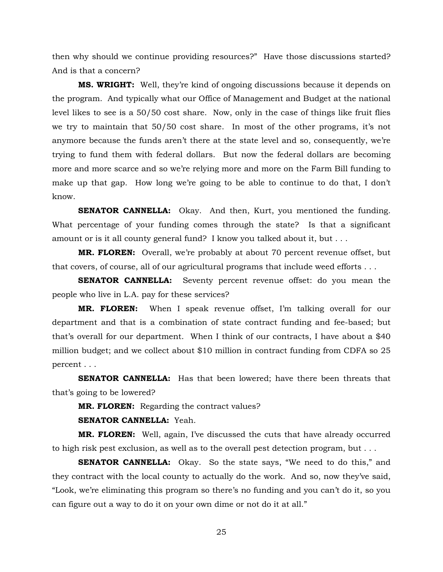then why should we continue providing resources?" Have those discussions started? And is that a concern?

**MS. WRIGHT:** Well, they're kind of ongoing discussions because it depends on the program. And typically what our Office of Management and Budget at the national level likes to see is a 50/50 cost share. Now, only in the case of things like fruit flies we try to maintain that 50/50 cost share. In most of the other programs, it's not anymore because the funds aren't there at the state level and so, consequently, we're trying to fund them with federal dollars. But now the federal dollars are becoming more and more scarce and so we're relying more and more on the Farm Bill funding to make up that gap. How long we're going to be able to continue to do that, I don't know.

**SENATOR CANNELLA:** Okay. And then, Kurt, you mentioned the funding. What percentage of your funding comes through the state? Is that a significant amount or is it all county general fund? I know you talked about it, but . . .

**MR. FLOREN:** Overall, we're probably at about 70 percent revenue offset, but that covers, of course, all of our agricultural programs that include weed efforts . . .

**SENATOR CANNELLA:** Seventy percent revenue offset: do you mean the people who live in L.A. pay for these services?

**MR. FLOREN:** When I speak revenue offset, I'm talking overall for our department and that is a combination of state contract funding and fee-based; but that's overall for our department. When I think of our contracts, I have about a \$40 million budget; and we collect about \$10 million in contract funding from CDFA so 25 percent . . .

**SENATOR CANNELLA:** Has that been lowered; have there been threats that that's going to be lowered?

**MR. FLOREN:** Regarding the contract values?

**SENATOR CANNELLA:** Yeah.

**MR. FLOREN:** Well, again, I've discussed the cuts that have already occurred to high risk pest exclusion, as well as to the overall pest detection program, but . . .

**SENATOR CANNELLA:** Okay. So the state says, "We need to do this," and they contract with the local county to actually do the work. And so, now they've said, "Look, we're eliminating this program so there's no funding and you can't do it, so you can figure out a way to do it on your own dime or not do it at all."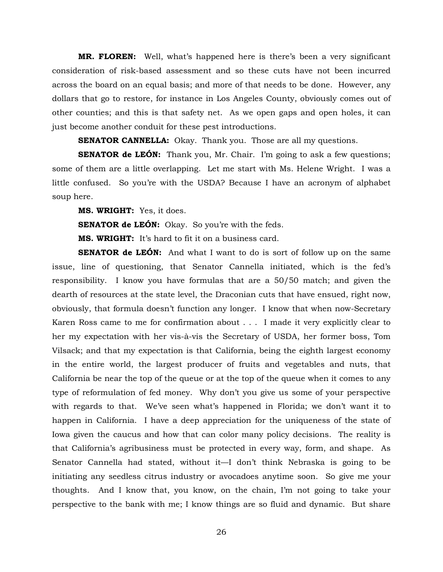**MR. FLOREN:** Well, what's happened here is there's been a very significant consideration of risk-based assessment and so these cuts have not been incurred across the board on an equal basis; and more of that needs to be done. However, any dollars that go to restore, for instance in Los Angeles County, obviously comes out of other counties; and this is that safety net. As we open gaps and open holes, it can just become another conduit for these pest introductions.

**SENATOR CANNELLA:** Okay. Thank you. Those are all my questions.

**SENATOR de LEÓN:** Thank you, Mr. Chair. I'm going to ask a few questions; some of them are a little overlapping. Let me start with Ms. Helene Wright. I was a little confused. So you're with the USDA? Because I have an acronym of alphabet soup here.

**MS. WRIGHT:** Yes, it does.

**SENATOR de LEÓN:** Okay. So you're with the feds.

**MS. WRIGHT:** It's hard to fit it on a business card.

**SENATOR de LEÓN:** And what I want to do is sort of follow up on the same issue, line of questioning, that Senator Cannella initiated, which is the fed's responsibility. I know you have formulas that are a 50/50 match; and given the dearth of resources at the state level, the Draconian cuts that have ensued, right now, obviously, that formula doesn't function any longer. I know that when now-Secretary Karen Ross came to me for confirmation about . . . I made it very explicitly clear to her my expectation with her vis-à-vis the Secretary of USDA, her former boss, Tom Vilsack; and that my expectation is that California, being the eighth largest economy in the entire world, the largest producer of fruits and vegetables and nuts, that California be near the top of the queue or at the top of the queue when it comes to any type of reformulation of fed money. Why don't you give us some of your perspective with regards to that. We've seen what's happened in Florida; we don't want it to happen in California. I have a deep appreciation for the uniqueness of the state of Iowa given the caucus and how that can color many policy decisions. The reality is that California's agribusiness must be protected in every way, form, and shape. As Senator Cannella had stated, without it—I don't think Nebraska is going to be initiating any seedless citrus industry or avocadoes anytime soon. So give me your thoughts. And I know that, you know, on the chain, I'm not going to take your perspective to the bank with me; I know things are so fluid and dynamic. But share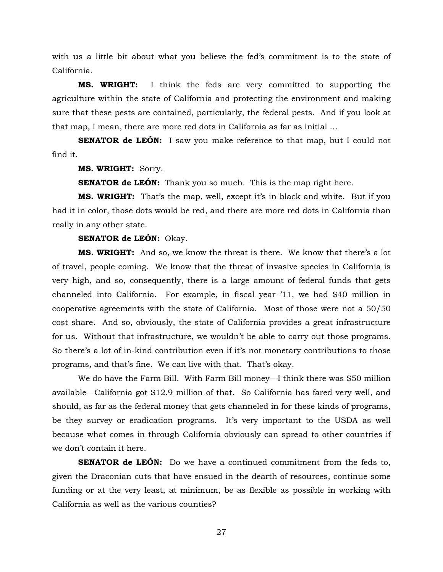with us a little bit about what you believe the fed's commitment is to the state of California.

**MS. WRIGHT:** I think the feds are very committed to supporting the agriculture within the state of California and protecting the environment and making sure that these pests are contained, particularly, the federal pests. And if you look at that map, I mean, there are more red dots in California as far as initial …

**SENATOR de LEÓN:** I saw you make reference to that map, but I could not find it.

#### **MS. WRIGHT:** Sorry.

**SENATOR de LEÓN:** Thank you so much. This is the map right here.

**MS. WRIGHT:** That's the map, well, except it's in black and white. But if you had it in color, those dots would be red, and there are more red dots in California than really in any other state.

#### **SENATOR de LEÓN:** Okay.

**MS. WRIGHT:** And so, we know the threat is there. We know that there's a lot of travel, people coming. We know that the threat of invasive species in California is very high, and so, consequently, there is a large amount of federal funds that gets channeled into California. For example, in fiscal year '11, we had \$40 million in cooperative agreements with the state of California. Most of those were not a 50/50 cost share. And so, obviously, the state of California provides a great infrastructure for us. Without that infrastructure, we wouldn't be able to carry out those programs. So there's a lot of in-kind contribution even if it's not monetary contributions to those programs, and that's fine. We can live with that. That's okay.

We do have the Farm Bill. With Farm Bill money—I think there was \$50 million available—California got \$12.9 million of that. So California has fared very well, and should, as far as the federal money that gets channeled in for these kinds of programs, be they survey or eradication programs. It's very important to the USDA as well because what comes in through California obviously can spread to other countries if we don't contain it here.

**SENATOR de LEÓN:** Do we have a continued commitment from the feds to, given the Draconian cuts that have ensued in the dearth of resources, continue some funding or at the very least, at minimum, be as flexible as possible in working with California as well as the various counties?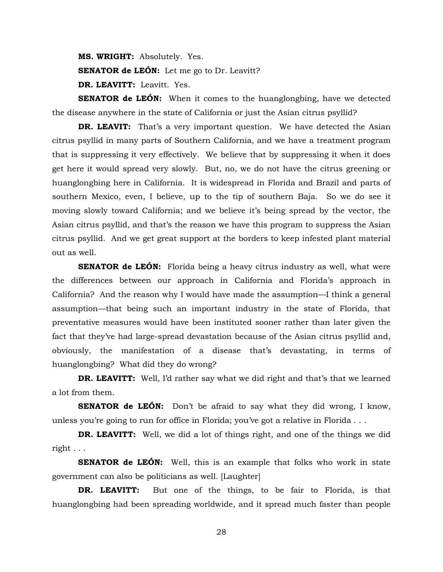**MS. WRIGHT:** Absolutely. Yes.

**SENATOR de LEÓN:** Let me go to Dr. Leavitt?

**DR. LEAVITT:** Leavitt. Yes.

**SENATOR de LEÓN:** When it comes to the huanglongbing, have we detected the disease anywhere in the state of California or just the Asian citrus psyllid?

**DR. LEAVIT:** That's a very important question. We have detected the Asian citrus psyllid in many parts of Southern California, and we have a treatment program that is suppressing it very effectively. We believe that by suppressing it when it does get here it would spread very slowly. But, no, we do not have the citrus greening or huanglongbing here in California. It is widespread in Florida and Brazil and parts of southern Mexico, even, I believe, up to the tip of southern Baja. So we do see it moving slowly toward California; and we believe it's being spread by the vector, the Asian citrus psyllid, and that's the reason we have this program to suppress the Asian citrus psyllid. And we get great support at the borders to keep infested plant material out as well.

**SENATOR de LEÓN:** Florida being a heavy citrus industry as well, what were the differences between our approach in California and Florida's approach in California? And the reason why I would have made the assumption—I think a general assumption—that being such an important industry in the state of Florida, that preventative measures would have been instituted sooner rather than later given the fact that they've had large-spread devastation because of the Asian citrus psyllid and, obviously, the manifestation of a disease that's devastating, in terms of huanglongbing? What did they do wrong?

**DR. LEAVITT:** Well, I'd rather say what we did right and that's that we learned a lot from them.

**SENATOR de LEÓN:** Don't be afraid to say what they did wrong, I know, unless you're going to run for office in Florida; you've got a relative in Florida . . .

**DR. LEAVITT:** Well, we did a lot of things right, and one of the things we did right . . .

**SENATOR de LEÓN:** Well, this is an example that folks who work in state government can also be politicians as well. [Laughter]

**DR. LEAVITT:** But one of the things, to be fair to Florida, is that huanglongbing had been spreading worldwide, and it spread much faster than people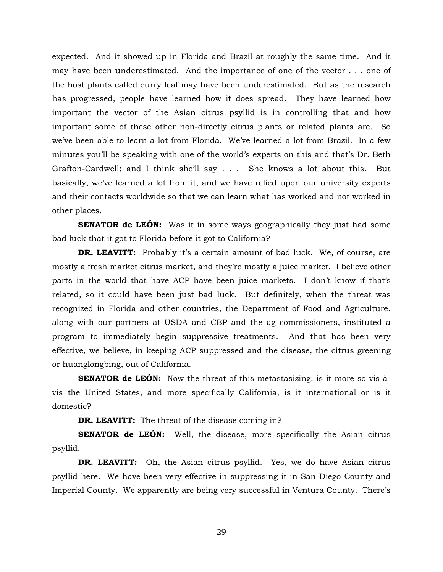expected. And it showed up in Florida and Brazil at roughly the same time. And it may have been underestimated. And the importance of one of the vector . . . one of the host plants called curry leaf may have been underestimated. But as the research has progressed, people have learned how it does spread. They have learned how important the vector of the Asian citrus psyllid is in controlling that and how important some of these other non-directly citrus plants or related plants are. So we've been able to learn a lot from Florida. We've learned a lot from Brazil. In a few minutes you'll be speaking with one of the world's experts on this and that's Dr. Beth Grafton-Cardwell; and I think she'll say . . . She knows a lot about this. But basically, we've learned a lot from it, and we have relied upon our university experts and their contacts worldwide so that we can learn what has worked and not worked in other places.

**SENATOR de LEÓN:** Was it in some ways geographically they just had some bad luck that it got to Florida before it got to California?

**DR. LEAVITT:** Probably it's a certain amount of bad luck. We, of course, are mostly a fresh market citrus market, and they're mostly a juice market. I believe other parts in the world that have ACP have been juice markets. I don't know if that's related, so it could have been just bad luck. But definitely, when the threat was recognized in Florida and other countries, the Department of Food and Agriculture, along with our partners at USDA and CBP and the ag commissioners, instituted a program to immediately begin suppressive treatments. And that has been very effective, we believe, in keeping ACP suppressed and the disease, the citrus greening or huanglongbing, out of California.

**SENATOR de LEÓN:** Now the threat of this metastasizing, is it more so vis-àvis the United States, and more specifically California, is it international or is it domestic?

**DR. LEAVITT:** The threat of the disease coming in?

**SENATOR de LEÓN:** Well, the disease, more specifically the Asian citrus psyllid.

**DR. LEAVITT:** Oh, the Asian citrus psyllid. Yes, we do have Asian citrus psyllid here. We have been very effective in suppressing it in San Diego County and Imperial County. We apparently are being very successful in Ventura County. There's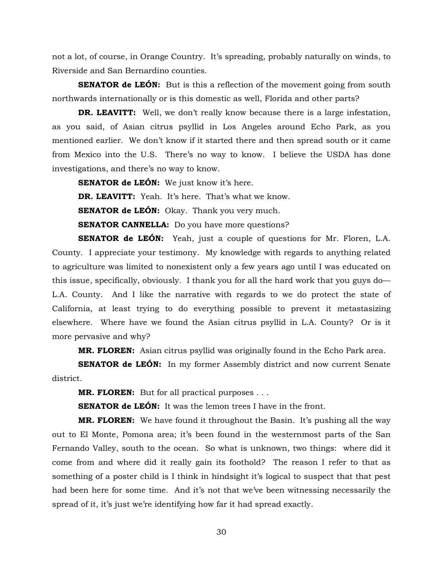not a lot, of course, in Orange Country. It's spreading, probably naturally on winds, to Riverside and San Bernardino counties.

**SENATOR de LEÓN:** But is this a reflection of the movement going from south northwards internationally or is this domestic as well, Florida and other parts?

**DR. LEAVITT:** Well, we don't really know because there is a large infestation, as you said, of Asian citrus psyllid in Los Angeles around Echo Park, as you mentioned earlier. We don't know if it started there and then spread south or it came from Mexico into the U.S. There's no way to know. I believe the USDA has done investigations, and there's no way to know.

**SENATOR de LEÓN:** We just know it's here.

**DR. LEAVITT:** Yeah. It's here. That's what we know.

**SENATOR de LEÓN:** Okay. Thank you very much.

**SENATOR CANNELLA:** Do you have more questions?

**SENATOR de LEÓN:** Yeah, just a couple of questions for Mr. Floren, L.A. County. I appreciate your testimony. My knowledge with regards to anything related to agriculture was limited to nonexistent only a few years ago until I was educated on this issue, specifically, obviously. I thank you for all the hard work that you guys do— L.A. County. And I like the narrative with regards to we do protect the state of California, at least trying to do everything possible to prevent it metastasizing elsewhere. Where have we found the Asian citrus psyllid in L.A. County? Or is it more pervasive and why?

**MR. FLOREN:** Asian citrus psyllid was originally found in the Echo Park area.

**SENATOR de LEÓN:** In my former Assembly district and now current Senate district.

**MR. FLOREN:** But for all practical purposes . . .

**SENATOR de LEÓN:** It was the lemon trees I have in the front.

**MR. FLOREN:** We have found it throughout the Basin. It's pushing all the way out to El Monte, Pomona area; it's been found in the westernmost parts of the San Fernando Valley, south to the ocean. So what is unknown, two things: where did it come from and where did it really gain its foothold? The reason I refer to that as something of a poster child is I think in hindsight it's logical to suspect that that pest had been here for some time. And it's not that we've been witnessing necessarily the spread of it, it's just we're identifying how far it had spread exactly.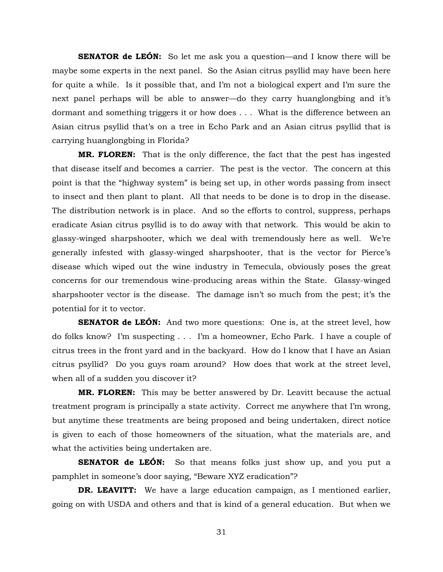**SENATOR de LEÓN:** So let me ask you a question—and I know there will be maybe some experts in the next panel. So the Asian citrus psyllid may have been here for quite a while. Is it possible that, and I'm not a biological expert and I'm sure the next panel perhaps will be able to answer—do they carry huanglongbing and it's dormant and something triggers it or how does . . . What is the difference between an Asian citrus psyllid that's on a tree in Echo Park and an Asian citrus psyllid that is carrying huanglongbing in Florida?

**MR. FLOREN:** That is the only difference, the fact that the pest has ingested that disease itself and becomes a carrier. The pest is the vector. The concern at this point is that the "highway system" is being set up, in other words passing from insect to insect and then plant to plant. All that needs to be done is to drop in the disease. The distribution network is in place. And so the efforts to control, suppress, perhaps eradicate Asian citrus psyllid is to do away with that network. This would be akin to glassy-winged sharpshooter, which we deal with tremendously here as well. We're generally infested with glassy-winged sharpshooter, that is the vector for Pierce's disease which wiped out the wine industry in Temecula, obviously poses the great concerns for our tremendous wine-producing areas within the State. Glassy-winged sharpshooter vector is the disease. The damage isn't so much from the pest; it's the potential for it to vector.

**SENATOR de LEÓN:** And two more questions: One is, at the street level, how do folks know? I'm suspecting . . . I'm a homeowner, Echo Park. I have a couple of citrus trees in the front yard and in the backyard. How do I know that I have an Asian citrus psyllid? Do you guys roam around? How does that work at the street level, when all of a sudden you discover it?

**MR. FLOREN:** This may be better answered by Dr. Leavitt because the actual treatment program is principally a state activity. Correct me anywhere that I'm wrong, but anytime these treatments are being proposed and being undertaken, direct notice is given to each of those homeowners of the situation, what the materials are, and what the activities being undertaken are.

**SENATOR de LEÓN:** So that means folks just show up, and you put a pamphlet in someone's door saying, "Beware XYZ eradication"?

**DR. LEAVITT:** We have a large education campaign, as I mentioned earlier, going on with USDA and others and that is kind of a general education. But when we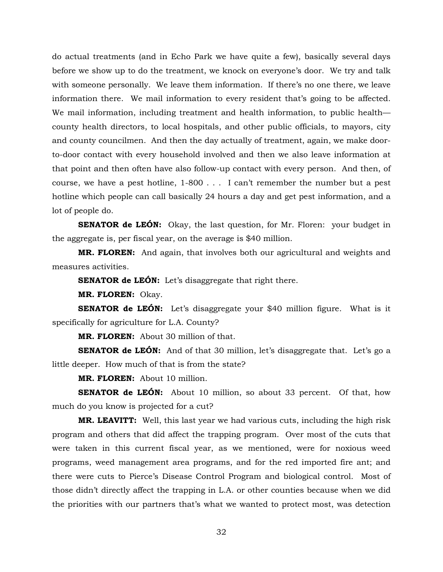do actual treatments (and in Echo Park we have quite a few), basically several days before we show up to do the treatment, we knock on everyone's door. We try and talk with someone personally. We leave them information. If there's no one there, we leave information there. We mail information to every resident that's going to be affected. We mail information, including treatment and health information, to public health county health directors, to local hospitals, and other public officials, to mayors, city and county councilmen. And then the day actually of treatment, again, we make doorto-door contact with every household involved and then we also leave information at that point and then often have also follow-up contact with every person. And then, of course, we have a pest hotline, 1-800 . . . I can't remember the number but a pest hotline which people can call basically 24 hours a day and get pest information, and a lot of people do.

**SENATOR de LEÓN:** Okay, the last question, for Mr. Floren: your budget in the aggregate is, per fiscal year, on the average is \$40 million.

**MR. FLOREN:** And again, that involves both our agricultural and weights and measures activities.

**SENATOR de LEÓN:** Let's disaggregate that right there.

**MR. FLOREN:** Okay.

**SENATOR de LEÓN:** Let's disaggregate your \$40 million figure. What is it specifically for agriculture for L.A. County?

**MR. FLOREN:** About 30 million of that.

**SENATOR de LEÓN:** And of that 30 million, let's disaggregate that. Let's go a little deeper. How much of that is from the state?

**MR. FLOREN:** About 10 million.

**SENATOR de LEÓN:** About 10 million, so about 33 percent. Of that, how much do you know is projected for a cut?

**MR. LEAVITT:** Well, this last year we had various cuts, including the high risk program and others that did affect the trapping program. Over most of the cuts that were taken in this current fiscal year, as we mentioned, were for noxious weed programs, weed management area programs, and for the red imported fire ant; and there were cuts to Pierce's Disease Control Program and biological control. Most of those didn't directly affect the trapping in L.A. or other counties because when we did the priorities with our partners that's what we wanted to protect most, was detection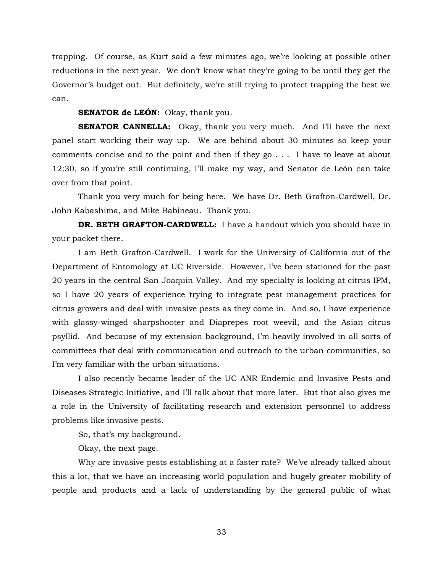trapping. Of course, as Kurt said a few minutes ago, we're looking at possible other reductions in the next year. We don't know what they're going to be until they get the Governor's budget out. But definitely, we're still trying to protect trapping the best we can.

#### **SENATOR de LEÓN:** Okay, thank you.

**SENATOR CANNELLA:** Okay, thank you very much. And I'll have the next panel start working their way up. We are behind about 30 minutes so keep your comments concise and to the point and then if they go . . . I have to leave at about 12:30, so if you're still continuing, I'll make my way, and Senator de León can take over from that point.

Thank you very much for being here. We have Dr. Beth Grafton-Cardwell, Dr. John Kabashima, and Mike Babineau. Thank you.

**DR. BETH GRAFTON-CARDWELL:** I have a handout which you should have in your packet there.

I am Beth Grafton-Cardwell. I work for the University of California out of the Department of Entomology at UC Riverside. However, I've been stationed for the past 20 years in the central San Joaquin Valley. And my specialty is looking at citrus IPM, so I have 20 years of experience trying to integrate pest management practices for citrus growers and deal with invasive pests as they come in. And so, I have experience with glassy-winged sharpshooter and Diaprepes root weevil, and the Asian citrus psyllid. And because of my extension background, I'm heavily involved in all sorts of committees that deal with communication and outreach to the urban communities, so I'm very familiar with the urban situations.

I also recently became leader of the UC ANR Endemic and Invasive Pests and Diseases Strategic Initiative, and I'll talk about that more later. But that also gives me a role in the University of facilitating research and extension personnel to address problems like invasive pests.

So, that's my background.

Okay, the next page.

Why are invasive pests establishing at a faster rate? We've already talked about this a lot, that we have an increasing world population and hugely greater mobility of people and products and a lack of understanding by the general public of what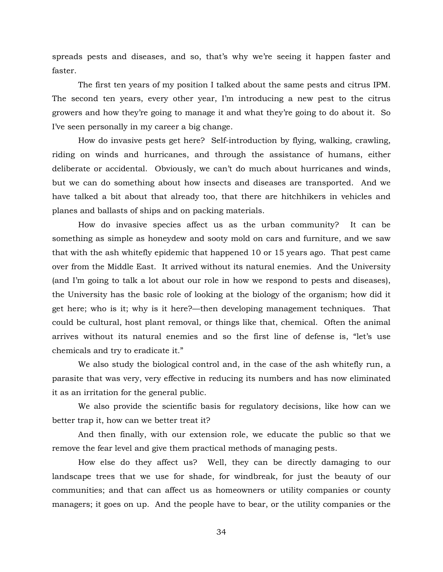spreads pests and diseases, and so, that's why we're seeing it happen faster and faster.

The first ten years of my position I talked about the same pests and citrus IPM. The second ten years, every other year, I'm introducing a new pest to the citrus growers and how they're going to manage it and what they're going to do about it. So I've seen personally in my career a big change.

How do invasive pests get here? Self-introduction by flying, walking, crawling, riding on winds and hurricanes, and through the assistance of humans, either deliberate or accidental. Obviously, we can't do much about hurricanes and winds, but we can do something about how insects and diseases are transported. And we have talked a bit about that already too, that there are hitchhikers in vehicles and planes and ballasts of ships and on packing materials.

How do invasive species affect us as the urban community? It can be something as simple as honeydew and sooty mold on cars and furniture, and we saw that with the ash whitefly epidemic that happened 10 or 15 years ago. That pest came over from the Middle East. It arrived without its natural enemies. And the University (and I'm going to talk a lot about our role in how we respond to pests and diseases), the University has the basic role of looking at the biology of the organism; how did it get here; who is it; why is it here?—then developing management techniques. That could be cultural, host plant removal, or things like that, chemical. Often the animal arrives without its natural enemies and so the first line of defense is, "let's use chemicals and try to eradicate it."

We also study the biological control and, in the case of the ash whitefly run, a parasite that was very, very effective in reducing its numbers and has now eliminated it as an irritation for the general public.

We also provide the scientific basis for regulatory decisions, like how can we better trap it, how can we better treat it?

And then finally, with our extension role, we educate the public so that we remove the fear level and give them practical methods of managing pests.

How else do they affect us? Well, they can be directly damaging to our landscape trees that we use for shade, for windbreak, for just the beauty of our communities; and that can affect us as homeowners or utility companies or county managers; it goes on up. And the people have to bear, or the utility companies or the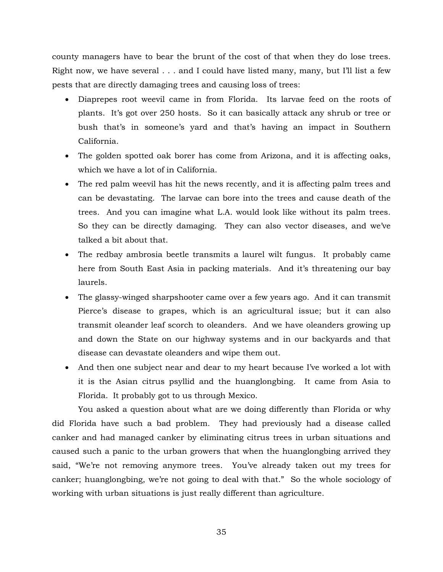county managers have to bear the brunt of the cost of that when they do lose trees. Right now, we have several . . . and I could have listed many, many, but I'll list a few pests that are directly damaging trees and causing loss of trees:

- Diaprepes root weevil came in from Florida. Its larvae feed on the roots of plants. It's got over 250 hosts. So it can basically attack any shrub or tree or bush that's in someone's yard and that's having an impact in Southern California.
- The golden spotted oak borer has come from Arizona, and it is affecting oaks, which we have a lot of in California.
- The red palm weevil has hit the news recently, and it is affecting palm trees and can be devastating. The larvae can bore into the trees and cause death of the trees. And you can imagine what L.A. would look like without its palm trees. So they can be directly damaging. They can also vector diseases, and we've talked a bit about that.
- The redbay ambrosia beetle transmits a laurel wilt fungus. It probably came here from South East Asia in packing materials. And it's threatening our bay laurels.
- The glassy-winged sharpshooter came over a few years ago. And it can transmit Pierce's disease to grapes, which is an agricultural issue; but it can also transmit oleander leaf scorch to oleanders. And we have oleanders growing up and down the State on our highway systems and in our backyards and that disease can devastate oleanders and wipe them out.
- And then one subject near and dear to my heart because I've worked a lot with it is the Asian citrus psyllid and the huanglongbing. It came from Asia to Florida. It probably got to us through Mexico.

You asked a question about what are we doing differently than Florida or why did Florida have such a bad problem. They had previously had a disease called canker and had managed canker by eliminating citrus trees in urban situations and caused such a panic to the urban growers that when the huanglongbing arrived they said, "We're not removing anymore trees. You've already taken out my trees for canker; huanglongbing, we're not going to deal with that." So the whole sociology of working with urban situations is just really different than agriculture.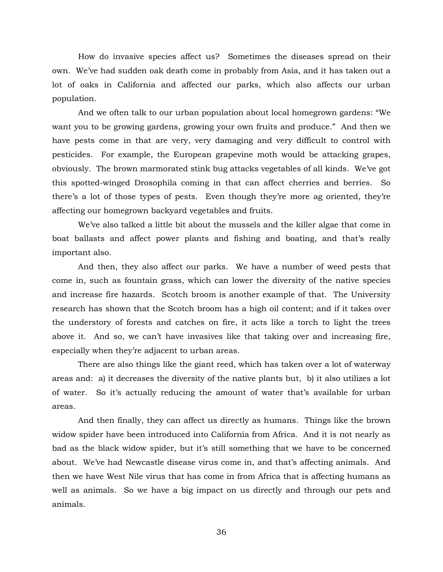How do invasive species affect us? Sometimes the diseases spread on their own. We've had sudden oak death come in probably from Asia, and it has taken out a lot of oaks in California and affected our parks, which also affects our urban population.

And we often talk to our urban population about local homegrown gardens: "We want you to be growing gardens, growing your own fruits and produce." And then we have pests come in that are very, very damaging and very difficult to control with pesticides. For example, the European grapevine moth would be attacking grapes, obviously. The brown marmorated stink bug attacks vegetables of all kinds. We've got this spotted-winged Drosophila coming in that can affect cherries and berries. So there's a lot of those types of pests. Even though they're more ag oriented, they're affecting our homegrown backyard vegetables and fruits.

We've also talked a little bit about the mussels and the killer algae that come in boat ballasts and affect power plants and fishing and boating, and that's really important also.

And then, they also affect our parks. We have a number of weed pests that come in, such as fountain grass, which can lower the diversity of the native species and increase fire hazards. Scotch broom is another example of that. The University research has shown that the Scotch broom has a high oil content; and if it takes over the understory of forests and catches on fire, it acts like a torch to light the trees above it. And so, we can't have invasives like that taking over and increasing fire, especially when they're adjacent to urban areas.

There are also things like the giant reed, which has taken over a lot of waterway areas and: a) it decreases the diversity of the native plants but, b) it also utilizes a lot of water. So it's actually reducing the amount of water that's available for urban areas.

And then finally, they can affect us directly as humans. Things like the brown widow spider have been introduced into California from Africa. And it is not nearly as bad as the black widow spider, but it's still something that we have to be concerned about. We've had Newcastle disease virus come in, and that's affecting animals. And then we have West Nile virus that has come in from Africa that is affecting humans as well as animals. So we have a big impact on us directly and through our pets and animals.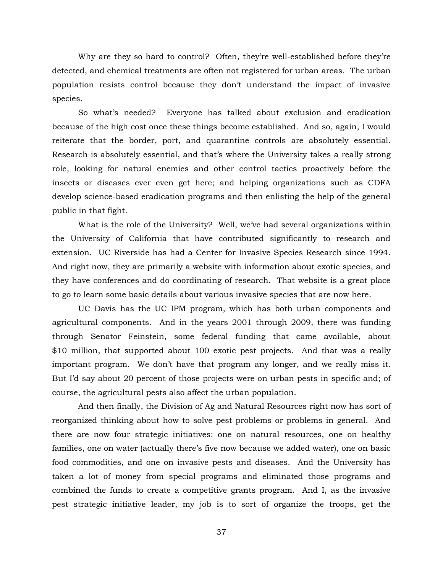Why are they so hard to control? Often, they're well-established before they're detected, and chemical treatments are often not registered for urban areas. The urban population resists control because they don't understand the impact of invasive species.

So what's needed? Everyone has talked about exclusion and eradication because of the high cost once these things become established. And so, again, I would reiterate that the border, port, and quarantine controls are absolutely essential. Research is absolutely essential, and that's where the University takes a really strong role, looking for natural enemies and other control tactics proactively before the insects or diseases ever even get here; and helping organizations such as CDFA develop science-based eradication programs and then enlisting the help of the general public in that fight.

What is the role of the University? Well, we've had several organizations within the University of California that have contributed significantly to research and extension. UC Riverside has had a Center for Invasive Species Research since 1994. And right now, they are primarily a website with information about exotic species, and they have conferences and do coordinating of research. That website is a great place to go to learn some basic details about various invasive species that are now here.

UC Davis has the UC IPM program, which has both urban components and agricultural components. And in the years 2001 through 2009, there was funding through Senator Feinstein, some federal funding that came available, about \$10 million, that supported about 100 exotic pest projects. And that was a really important program. We don't have that program any longer, and we really miss it. But I'd say about 20 percent of those projects were on urban pests in specific and; of course, the agricultural pests also affect the urban population.

And then finally, the Division of Ag and Natural Resources right now has sort of reorganized thinking about how to solve pest problems or problems in general. And there are now four strategic initiatives: one on natural resources, one on healthy families, one on water (actually there's five now because we added water), one on basic food commodities, and one on invasive pests and diseases. And the University has taken a lot of money from special programs and eliminated those programs and combined the funds to create a competitive grants program. And I, as the invasive pest strategic initiative leader, my job is to sort of organize the troops, get the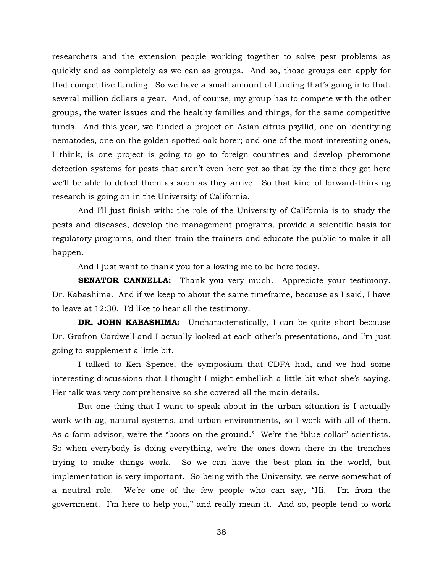researchers and the extension people working together to solve pest problems as quickly and as completely as we can as groups. And so, those groups can apply for that competitive funding. So we have a small amount of funding that's going into that, several million dollars a year. And, of course, my group has to compete with the other groups, the water issues and the healthy families and things, for the same competitive funds. And this year, we funded a project on Asian citrus psyllid, one on identifying nematodes, one on the golden spotted oak borer; and one of the most interesting ones, I think, is one project is going to go to foreign countries and develop pheromone detection systems for pests that aren't even here yet so that by the time they get here we'll be able to detect them as soon as they arrive. So that kind of forward-thinking research is going on in the University of California.

And I'll just finish with: the role of the University of California is to study the pests and diseases, develop the management programs, provide a scientific basis for regulatory programs, and then train the trainers and educate the public to make it all happen.

And I just want to thank you for allowing me to be here today.

**SENATOR CANNELLA:** Thank you very much. Appreciate your testimony. Dr. Kabashima. And if we keep to about the same timeframe, because as I said, I have to leave at 12:30. I'd like to hear all the testimony.

**DR. JOHN KABASHIMA:** Uncharacteristically, I can be quite short because Dr. Grafton-Cardwell and I actually looked at each other's presentations, and I'm just going to supplement a little bit.

I talked to Ken Spence, the symposium that CDFA had, and we had some interesting discussions that I thought I might embellish a little bit what she's saying. Her talk was very comprehensive so she covered all the main details.

But one thing that I want to speak about in the urban situation is I actually work with ag, natural systems, and urban environments, so I work with all of them. As a farm advisor, we're the "boots on the ground." We're the "blue collar" scientists. So when everybody is doing everything, we're the ones down there in the trenches trying to make things work. So we can have the best plan in the world, but implementation is very important. So being with the University, we serve somewhat of a neutral role. We're one of the few people who can say, "Hi. I'm from the government. I'm here to help you," and really mean it. And so, people tend to work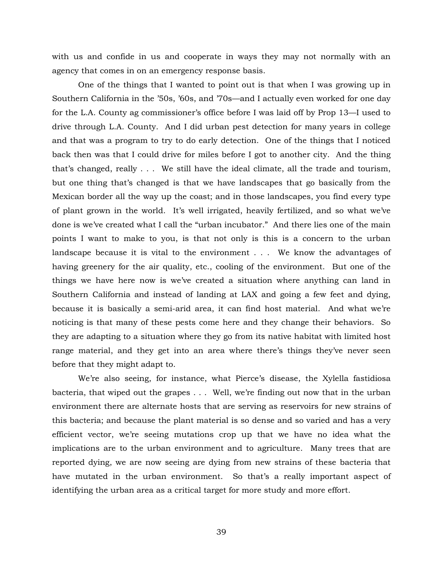with us and confide in us and cooperate in ways they may not normally with an agency that comes in on an emergency response basis.

One of the things that I wanted to point out is that when I was growing up in Southern California in the '50s, '60s, and '70s—and I actually even worked for one day for the L.A. County ag commissioner's office before I was laid off by Prop 13—I used to drive through L.A. County. And I did urban pest detection for many years in college and that was a program to try to do early detection. One of the things that I noticed back then was that I could drive for miles before I got to another city. And the thing that's changed, really . . . We still have the ideal climate, all the trade and tourism, but one thing that's changed is that we have landscapes that go basically from the Mexican border all the way up the coast; and in those landscapes, you find every type of plant grown in the world. It's well irrigated, heavily fertilized, and so what we've done is we've created what I call the "urban incubator." And there lies one of the main points I want to make to you, is that not only is this is a concern to the urban landscape because it is vital to the environment . . . We know the advantages of having greenery for the air quality, etc., cooling of the environment. But one of the things we have here now is we've created a situation where anything can land in Southern California and instead of landing at LAX and going a few feet and dying, because it is basically a semi-arid area, it can find host material. And what we're noticing is that many of these pests come here and they change their behaviors. So they are adapting to a situation where they go from its native habitat with limited host range material, and they get into an area where there's things they've never seen before that they might adapt to.

We're also seeing, for instance, what Pierce's disease, the Xylella fastidiosa bacteria, that wiped out the grapes . . . Well, we're finding out now that in the urban environment there are alternate hosts that are serving as reservoirs for new strains of this bacteria; and because the plant material is so dense and so varied and has a very efficient vector, we're seeing mutations crop up that we have no idea what the implications are to the urban environment and to agriculture. Many trees that are reported dying, we are now seeing are dying from new strains of these bacteria that have mutated in the urban environment. So that's a really important aspect of identifying the urban area as a critical target for more study and more effort.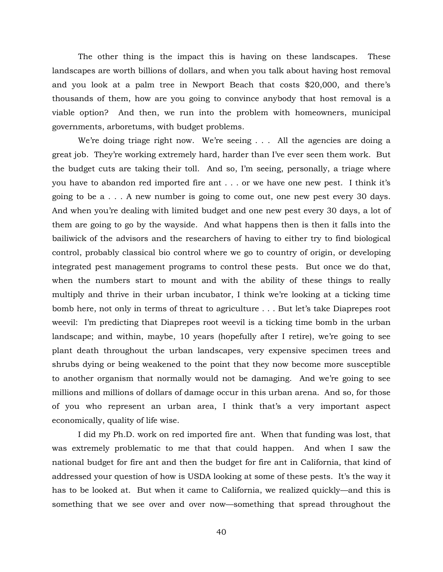The other thing is the impact this is having on these landscapes. These landscapes are worth billions of dollars, and when you talk about having host removal and you look at a palm tree in Newport Beach that costs \$20,000, and there's thousands of them, how are you going to convince anybody that host removal is a viable option? And then, we run into the problem with homeowners, municipal governments, arboretums, with budget problems.

We're doing triage right now. We're seeing . . . All the agencies are doing a great job. They're working extremely hard, harder than I've ever seen them work. But the budget cuts are taking their toll. And so, I'm seeing, personally, a triage where you have to abandon red imported fire ant . . . or we have one new pest. I think it's going to be a . . . A new number is going to come out, one new pest every 30 days. And when you're dealing with limited budget and one new pest every 30 days, a lot of them are going to go by the wayside. And what happens then is then it falls into the bailiwick of the advisors and the researchers of having to either try to find biological control, probably classical bio control where we go to country of origin, or developing integrated pest management programs to control these pests. But once we do that, when the numbers start to mount and with the ability of these things to really multiply and thrive in their urban incubator, I think we're looking at a ticking time bomb here, not only in terms of threat to agriculture . . . But let's take Diaprepes root weevil: I'm predicting that Diaprepes root weevil is a ticking time bomb in the urban landscape; and within, maybe, 10 years (hopefully after I retire), we're going to see plant death throughout the urban landscapes, very expensive specimen trees and shrubs dying or being weakened to the point that they now become more susceptible to another organism that normally would not be damaging. And we're going to see millions and millions of dollars of damage occur in this urban arena. And so, for those of you who represent an urban area, I think that's a very important aspect economically, quality of life wise.

I did my Ph.D. work on red imported fire ant. When that funding was lost, that was extremely problematic to me that that could happen. And when I saw the national budget for fire ant and then the budget for fire ant in California, that kind of addressed your question of how is USDA looking at some of these pests. It's the way it has to be looked at. But when it came to California, we realized quickly—and this is something that we see over and over now—something that spread throughout the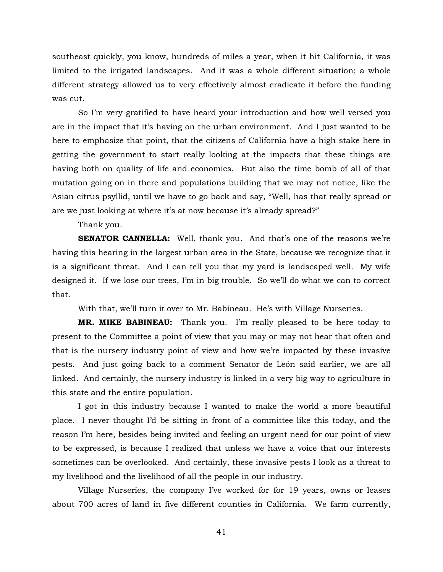southeast quickly, you know, hundreds of miles a year, when it hit California, it was limited to the irrigated landscapes. And it was a whole different situation; a whole different strategy allowed us to very effectively almost eradicate it before the funding was cut.

So I'm very gratified to have heard your introduction and how well versed you are in the impact that it's having on the urban environment. And I just wanted to be here to emphasize that point, that the citizens of California have a high stake here in getting the government to start really looking at the impacts that these things are having both on quality of life and economics. But also the time bomb of all of that mutation going on in there and populations building that we may not notice, like the Asian citrus psyllid, until we have to go back and say, "Well, has that really spread or are we just looking at where it's at now because it's already spread?"

Thank you.

**SENATOR CANNELLA:** Well, thank you. And that's one of the reasons we're having this hearing in the largest urban area in the State, because we recognize that it is a significant threat. And I can tell you that my yard is landscaped well. My wife designed it. If we lose our trees, I'm in big trouble. So we'll do what we can to correct that.

With that, we'll turn it over to Mr. Babineau. He's with Village Nurseries.

**MR. MIKE BABINEAU:** Thank you. I'm really pleased to be here today to present to the Committee a point of view that you may or may not hear that often and that is the nursery industry point of view and how we're impacted by these invasive pests. And just going back to a comment Senator de León said earlier, we are all linked. And certainly, the nursery industry is linked in a very big way to agriculture in this state and the entire population.

I got in this industry because I wanted to make the world a more beautiful place. I never thought I'd be sitting in front of a committee like this today, and the reason I'm here, besides being invited and feeling an urgent need for our point of view to be expressed, is because I realized that unless we have a voice that our interests sometimes can be overlooked. And certainly, these invasive pests I look as a threat to my livelihood and the livelihood of all the people in our industry.

Village Nurseries, the company I've worked for for 19 years, owns or leases about 700 acres of land in five different counties in California. We farm currently,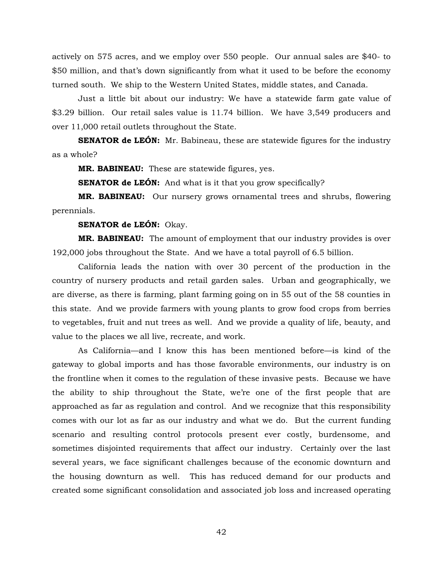actively on 575 acres, and we employ over 550 people. Our annual sales are \$40- to \$50 million, and that's down significantly from what it used to be before the economy turned south. We ship to the Western United States, middle states, and Canada.

Just a little bit about our industry: We have a statewide farm gate value of \$3.29 billion. Our retail sales value is 11.74 billion. We have 3,549 producers and over 11,000 retail outlets throughout the State.

**SENATOR de LEÓN:** Mr. Babineau, these are statewide figures for the industry as a whole?

**MR. BABINEAU:** These are statewide figures, yes.

**SENATOR de LEÓN:** And what is it that you grow specifically?

**MR. BABINEAU:** Our nursery grows ornamental trees and shrubs, flowering perennials.

**SENATOR de LEÓN:** Okay.

**MR. BABINEAU:** The amount of employment that our industry provides is over 192,000 jobs throughout the State. And we have a total payroll of 6.5 billion.

California leads the nation with over 30 percent of the production in the country of nursery products and retail garden sales. Urban and geographically, we are diverse, as there is farming, plant farming going on in 55 out of the 58 counties in this state. And we provide farmers with young plants to grow food crops from berries to vegetables, fruit and nut trees as well. And we provide a quality of life, beauty, and value to the places we all live, recreate, and work.

As California—and I know this has been mentioned before—is kind of the gateway to global imports and has those favorable environments, our industry is on the frontline when it comes to the regulation of these invasive pests. Because we have the ability to ship throughout the State, we're one of the first people that are approached as far as regulation and control. And we recognize that this responsibility comes with our lot as far as our industry and what we do. But the current funding scenario and resulting control protocols present ever costly, burdensome, and sometimes disjointed requirements that affect our industry. Certainly over the last several years, we face significant challenges because of the economic downturn and the housing downturn as well. This has reduced demand for our products and created some significant consolidation and associated job loss and increased operating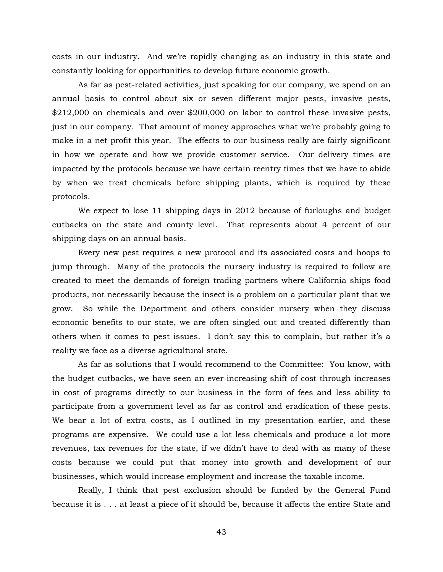costs in our industry. And we're rapidly changing as an industry in this state and constantly looking for opportunities to develop future economic growth.

As far as pest-related activities, just speaking for our company, we spend on an annual basis to control about six or seven different major pests, invasive pests, \$212,000 on chemicals and over \$200,000 on labor to control these invasive pests, just in our company. That amount of money approaches what we're probably going to make in a net profit this year. The effects to our business really are fairly significant in how we operate and how we provide customer service. Our delivery times are impacted by the protocols because we have certain reentry times that we have to abide by when we treat chemicals before shipping plants, which is required by these protocols.

We expect to lose 11 shipping days in 2012 because of furloughs and budget cutbacks on the state and county level. That represents about 4 percent of our shipping days on an annual basis.

Every new pest requires a new protocol and its associated costs and hoops to jump through. Many of the protocols the nursery industry is required to follow are created to meet the demands of foreign trading partners where California ships food products, not necessarily because the insect is a problem on a particular plant that we grow. So while the Department and others consider nursery when they discuss economic benefits to our state, we are often singled out and treated differently than others when it comes to pest issues. I don't say this to complain, but rather it's a reality we face as a diverse agricultural state.

As far as solutions that I would recommend to the Committee: You know, with the budget cutbacks, we have seen an ever-increasing shift of cost through increases in cost of programs directly to our business in the form of fees and less ability to participate from a government level as far as control and eradication of these pests. We bear a lot of extra costs, as I outlined in my presentation earlier, and these programs are expensive. We could use a lot less chemicals and produce a lot more revenues, tax revenues for the state, if we didn't have to deal with as many of these costs because we could put that money into growth and development of our businesses, which would increase employment and increase the taxable income.

Really, I think that pest exclusion should be funded by the General Fund because it is . . . at least a piece of it should be, because it affects the entire State and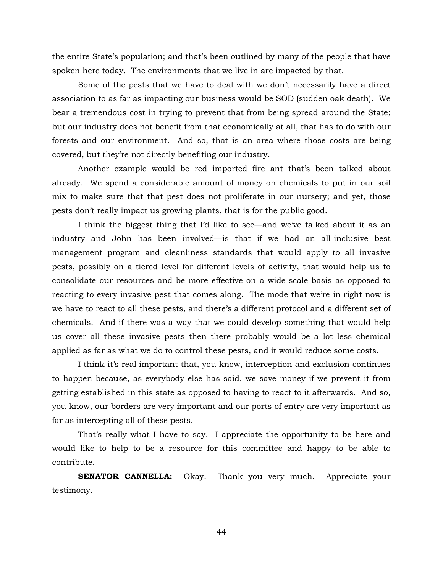the entire State's population; and that's been outlined by many of the people that have spoken here today. The environments that we live in are impacted by that.

Some of the pests that we have to deal with we don't necessarily have a direct association to as far as impacting our business would be SOD (sudden oak death). We bear a tremendous cost in trying to prevent that from being spread around the State; but our industry does not benefit from that economically at all, that has to do with our forests and our environment. And so, that is an area where those costs are being covered, but they're not directly benefiting our industry.

Another example would be red imported fire ant that's been talked about already. We spend a considerable amount of money on chemicals to put in our soil mix to make sure that that pest does not proliferate in our nursery; and yet, those pests don't really impact us growing plants, that is for the public good.

I think the biggest thing that I'd like to see—and we've talked about it as an industry and John has been involved—is that if we had an all-inclusive best management program and cleanliness standards that would apply to all invasive pests, possibly on a tiered level for different levels of activity, that would help us to consolidate our resources and be more effective on a wide-scale basis as opposed to reacting to every invasive pest that comes along. The mode that we're in right now is we have to react to all these pests, and there's a different protocol and a different set of chemicals. And if there was a way that we could develop something that would help us cover all these invasive pests then there probably would be a lot less chemical applied as far as what we do to control these pests, and it would reduce some costs.

I think it's real important that, you know, interception and exclusion continues to happen because, as everybody else has said, we save money if we prevent it from getting established in this state as opposed to having to react to it afterwards. And so, you know, our borders are very important and our ports of entry are very important as far as intercepting all of these pests.

That's really what I have to say. I appreciate the opportunity to be here and would like to help to be a resource for this committee and happy to be able to contribute.

**SENATOR CANNELLA:** Okay. Thank you very much. Appreciate your testimony.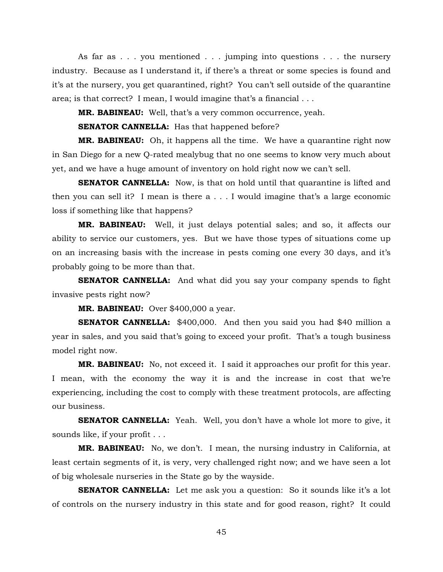As far as . . . you mentioned . . . jumping into questions . . . the nursery industry. Because as I understand it, if there's a threat or some species is found and it's at the nursery, you get quarantined, right? You can't sell outside of the quarantine area; is that correct? I mean, I would imagine that's a financial . . .

**MR. BABINEAU:** Well, that's a very common occurrence, yeah.

**SENATOR CANNELLA:** Has that happened before?

**MR. BABINEAU:** Oh, it happens all the time. We have a quarantine right now in San Diego for a new Q-rated mealybug that no one seems to know very much about yet, and we have a huge amount of inventory on hold right now we can't sell.

**SENATOR CANNELLA:** Now, is that on hold until that quarantine is lifted and then you can sell it? I mean is there a . . . I would imagine that's a large economic loss if something like that happens?

**MR. BABINEAU:** Well, it just delays potential sales; and so, it affects our ability to service our customers, yes. But we have those types of situations come up on an increasing basis with the increase in pests coming one every 30 days, and it's probably going to be more than that.

**SENATOR CANNELLA:** And what did you say your company spends to fight invasive pests right now?

**MR. BABINEAU:** Over \$400,000 a year.

**SENATOR CANNELLA:** \$400,000. And then you said you had \$40 million a year in sales, and you said that's going to exceed your profit. That's a tough business model right now.

**MR. BABINEAU:** No, not exceed it. I said it approaches our profit for this year. I mean, with the economy the way it is and the increase in cost that we're experiencing, including the cost to comply with these treatment protocols, are affecting our business.

**SENATOR CANNELLA:** Yeah. Well, you don't have a whole lot more to give, it sounds like, if your profit . . .

**MR. BABINEAU:** No, we don't. I mean, the nursing industry in California, at least certain segments of it, is very, very challenged right now; and we have seen a lot of big wholesale nurseries in the State go by the wayside.

**SENATOR CANNELLA:** Let me ask you a question: So it sounds like it's a lot of controls on the nursery industry in this state and for good reason, right? It could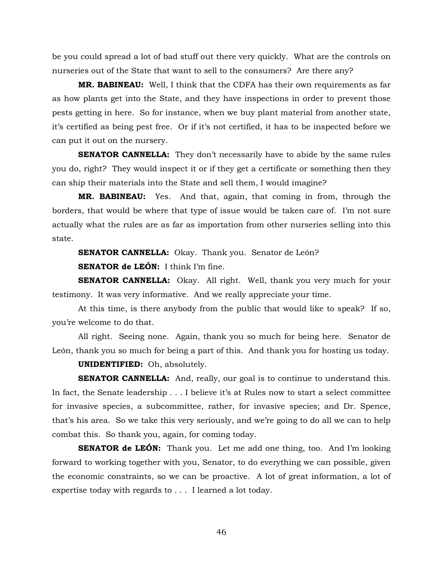be you could spread a lot of bad stuff out there very quickly. What are the controls on nurseries out of the State that want to sell to the consumers? Are there any?

**MR. BABINEAU:** Well, I think that the CDFA has their own requirements as far as how plants get into the State, and they have inspections in order to prevent those pests getting in here. So for instance, when we buy plant material from another state, it's certified as being pest free. Or if it's not certified, it has to be inspected before we can put it out on the nursery.

**SENATOR CANNELLA:** They don't necessarily have to abide by the same rules you do, right? They would inspect it or if they get a certificate or something then they can ship their materials into the State and sell them, I would imagine?

**MR. BABINEAU:** Yes. And that, again, that coming in from, through the borders, that would be where that type of issue would be taken care of. I'm not sure actually what the rules are as far as importation from other nurseries selling into this state.

**SENATOR CANNELLA:** Okay. Thank you. Senator de León?

**SENATOR de LEÓN:** I think I'm fine.

**SENATOR CANNELLA:** Okay. All right. Well, thank you very much for your testimony. It was very informative. And we really appreciate your time.

At this time, is there anybody from the public that would like to speak? If so, you're welcome to do that.

All right. Seeing none. Again, thank you so much for being here. Senator de León, thank you so much for being a part of this. And thank you for hosting us today.

**UNIDENTIFIED:** Oh, absolutely.

**SENATOR CANNELLA:** And, really, our goal is to continue to understand this. In fact, the Senate leadership . . . I believe it's at Rules now to start a select committee for invasive species, a subcommittee, rather, for invasive species; and Dr. Spence, that's his area. So we take this very seriously, and we're going to do all we can to help combat this. So thank you, again, for coming today.

**SENATOR de LEÓN:** Thank you. Let me add one thing, too. And I'm looking forward to working together with you, Senator, to do everything we can possible, given the economic constraints, so we can be proactive. A lot of great information, a lot of expertise today with regards to . . . I learned a lot today.